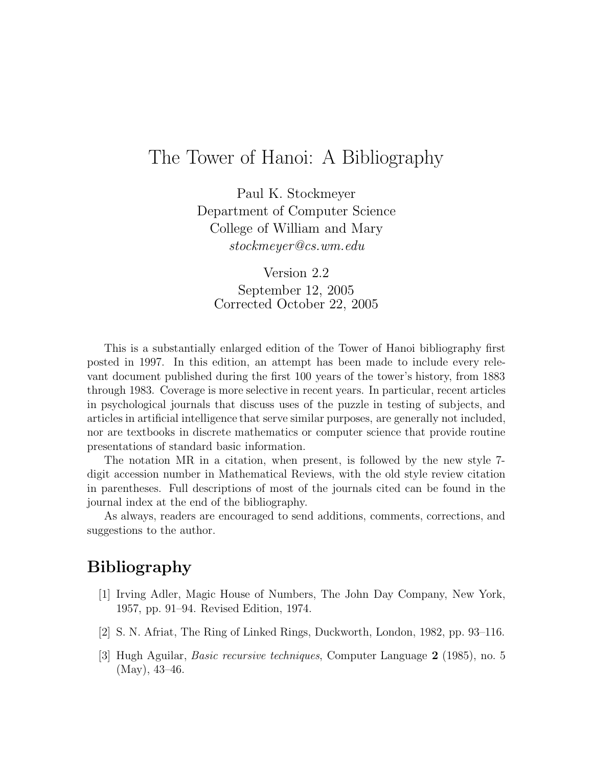## The Tower of Hanoi: A Bibliography

Paul K. Stockmeyer Department of Computer Science College of William and Mary stockmeyer@cs.wm.edu

Version 2.2 September 12, 2005 Corrected October 22, 2005

This is a substantially enlarged edition of the Tower of Hanoi bibliography first posted in 1997. In this edition, an attempt has been made to include every relevant document published during the first 100 years of the tower's history, from 1883 through 1983. Coverage is more selective in recent years. In particular, recent articles in psychological journals that discuss uses of the puzzle in testing of subjects, and articles in artificial intelligence that serve similar purposes, are generally not included, nor are textbooks in discrete mathematics or computer science that provide routine presentations of standard basic information.

The notation MR in a citation, when present, is followed by the new style 7 digit accession number in Mathematical Reviews, with the old style review citation in parentheses. Full descriptions of most of the journals cited can be found in the journal index at the end of the bibliography.

As always, readers are encouraged to send additions, comments, corrections, and suggestions to the author.

## Bibliography

- [1] Irving Adler, Magic House of Numbers, The John Day Company, New York, 1957, pp. 91–94. Revised Edition, 1974.
- [2] S. N. Afriat, The Ring of Linked Rings, Duckworth, London, 1982, pp. 93–116.
- [3] Hugh Aguilar, Basic recursive techniques, Computer Language 2 (1985), no. 5 (May), 43–46.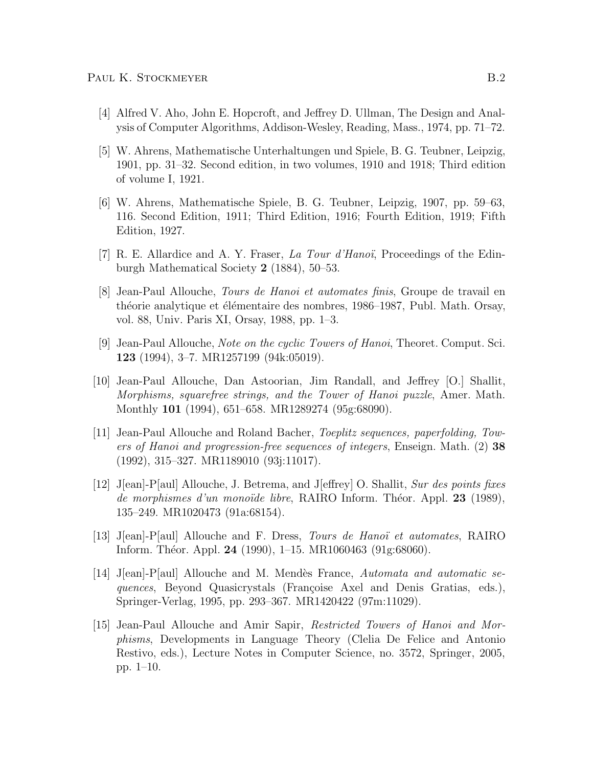- [4] Alfred V. Aho, John E. Hopcroft, and Jeffrey D. Ullman, The Design and Analysis of Computer Algorithms, Addison-Wesley, Reading, Mass., 1974, pp. 71–72.
- [5] W. Ahrens, Mathematische Unterhaltungen und Spiele, B. G. Teubner, Leipzig, 1901, pp. 31–32. Second edition, in two volumes, 1910 and 1918; Third edition of volume I, 1921.
- [6] W. Ahrens, Mathematische Spiele, B. G. Teubner, Leipzig, 1907, pp. 59–63, 116. Second Edition, 1911; Third Edition, 1916; Fourth Edition, 1919; Fifth Edition, 1927.
- [7] R. E. Allardice and A. Y. Fraser, La Tour d'Hanoï, Proceedings of the Edinburgh Mathematical Society 2 (1884), 50–53.
- [8] Jean-Paul Allouche, Tours de Hanoi et automates finis, Groupe de travail en théorie analytique et élémentaire des nombres, 1986–1987, Publ. Math. Orsay, vol. 88, Univ. Paris XI, Orsay, 1988, pp. 1–3.
- [9] Jean-Paul Allouche, Note on the cyclic Towers of Hanoi, Theoret. Comput. Sci. 123 (1994), 3–7. MR1257199 (94k:05019).
- [10] Jean-Paul Allouche, Dan Astoorian, Jim Randall, and Jeffrey [O.] Shallit, Morphisms, squarefree strings, and the Tower of Hanoi puzzle, Amer. Math. Monthly 101 (1994), 651–658. MR1289274 (95g:68090).
- [11] Jean-Paul Allouche and Roland Bacher, Toeplitz sequences, paperfolding, Towers of Hanoi and progression-free sequences of integers, Enseign. Math. (2) 38 (1992), 315–327. MR1189010 (93j:11017).
- [12] J[ean]-P[aul] Allouche, J. Betrema, and J[effrey] O. Shallit, Sur des points fixes de morphismes d'un monoïde libre, RAIRO Inform. Théor. Appl. 23 (1989), 135–249. MR1020473 (91a:68154).
- [13] J[ean]-P[aul] Allouche and F. Dress, *Tours de Hanoï* et automates, RAIRO Inform. Théor. Appl. 24 (1990), 1–15. MR1060463 (91g:68060).
- [14] J[ean]-P[aul] Allouche and M. Mendes France, Automata and automatic sequences, Beyond Quasicrystals (Françoise Axel and Denis Gratias, eds.), Springer-Verlag, 1995, pp. 293–367. MR1420422 (97m:11029).
- [15] Jean-Paul Allouche and Amir Sapir, Restricted Towers of Hanoi and Morphisms, Developments in Language Theory (Clelia De Felice and Antonio Restivo, eds.), Lecture Notes in Computer Science, no. 3572, Springer, 2005, pp. 1–10.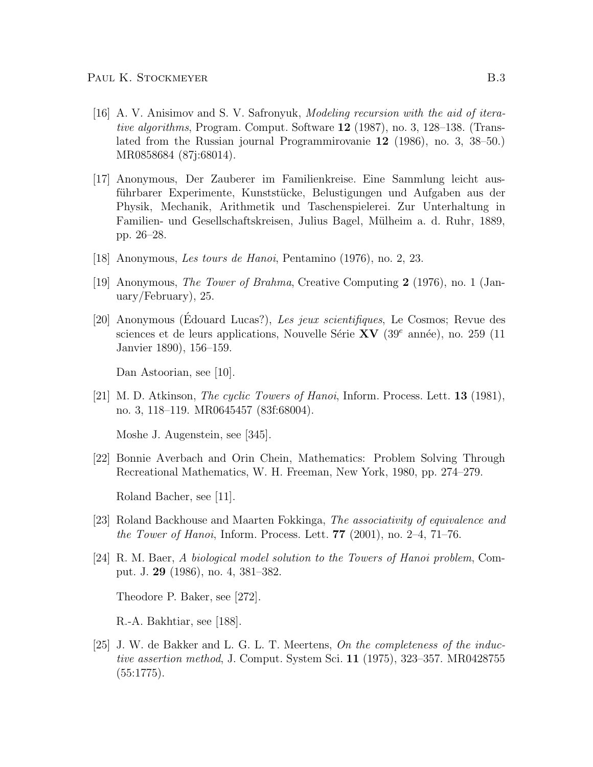- [16] A. V. Anisimov and S. V. Safronyuk, Modeling recursion with the aid of iterative algorithms, Program. Comput. Software 12 (1987), no. 3, 128–138. (Translated from the Russian journal Programmirovanie 12 (1986), no. 3, 38–50.) MR0858684 (87j:68014).
- [17] Anonymous, Der Zauberer im Familienkreise. Eine Sammlung leicht ausführbarer Experimente, Kunststücke, Belustigungen und Aufgaben aus der Physik, Mechanik, Arithmetik und Taschenspielerei. Zur Unterhaltung in Familien- und Gesellschaftskreisen, Julius Bagel, Mülheim a. d. Ruhr, 1889, pp. 26–28.
- [18] Anonymous, Les tours de Hanoi, Pentamino (1976), no. 2, 23.
- [19] Anonymous, The Tower of Brahma, Creative Computing 2 (1976), no. 1 (January/February), 25.
- [20] Anonymous (Édouard Lucas?), Les jeux scientifiques, Le Cosmos; Revue des sciences et de leurs applications, Nouvelle Série  $XV$  (39<sup>e</sup> année), no. 259 (11 Janvier 1890), 156–159.

Dan Astoorian, see [10].

[21] M. D. Atkinson, The cyclic Towers of Hanoi, Inform. Process. Lett. 13 (1981), no. 3, 118–119. MR0645457 (83f:68004).

Moshe J. Augenstein, see [345].

[22] Bonnie Averbach and Orin Chein, Mathematics: Problem Solving Through Recreational Mathematics, W. H. Freeman, New York, 1980, pp. 274–279.

Roland Bacher, see [11].

- [23] Roland Backhouse and Maarten Fokkinga, The associativity of equivalence and *the Tower of Hanoi*, Inform. Process. Lett. **77** (2001), no. 2–4, 71–76.
- [24] R. M. Baer, A biological model solution to the Towers of Hanoi problem, Comput. J. 29 (1986), no. 4, 381–382.

Theodore P. Baker, see [272].

R.-A. Bakhtiar, see [188].

[25] J. W. de Bakker and L. G. L. T. Meertens, On the completeness of the inductive assertion method, J. Comput. System Sci. 11 (1975), 323–357. MR0428755 (55:1775).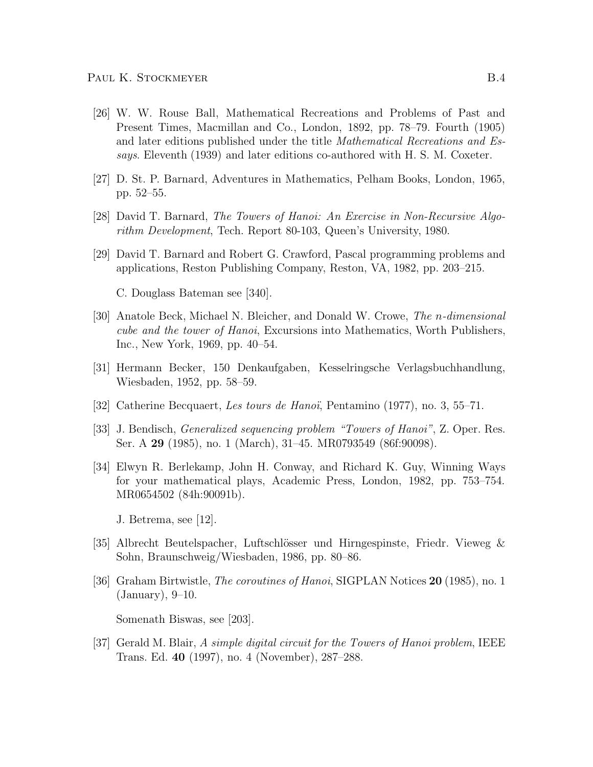- [26] W. W. Rouse Ball, Mathematical Recreations and Problems of Past and Present Times, Macmillan and Co., London, 1892, pp. 78–79. Fourth (1905) and later editions published under the title Mathematical Recreations and Essays. Eleventh (1939) and later editions co-authored with H. S. M. Coxeter.
- [27] D. St. P. Barnard, Adventures in Mathematics, Pelham Books, London, 1965, pp. 52–55.
- [28] David T. Barnard, The Towers of Hanoi: An Exercise in Non-Recursive Algorithm Development, Tech. Report 80-103, Queen's University, 1980.
- [29] David T. Barnard and Robert G. Crawford, Pascal programming problems and applications, Reston Publishing Company, Reston, VA, 1982, pp. 203–215.

C. Douglass Bateman see [340].

- [30] Anatole Beck, Michael N. Bleicher, and Donald W. Crowe, The n-dimensional cube and the tower of Hanoi, Excursions into Mathematics, Worth Publishers, Inc., New York, 1969, pp. 40–54.
- [31] Hermann Becker, 150 Denkaufgaben, Kesselringsche Verlagsbuchhandlung, Wiesbaden, 1952, pp. 58–59.
- [32] Catherine Becquaert, Les tours de Hanoï, Pentamino (1977), no. 3, 55–71.
- [33] J. Bendisch, Generalized sequencing problem "Towers of Hanoi", Z. Oper. Res. Ser. A 29 (1985), no. 1 (March), 31–45. MR0793549 (86f:90098).
- [34] Elwyn R. Berlekamp, John H. Conway, and Richard K. Guy, Winning Ways for your mathematical plays, Academic Press, London, 1982, pp. 753–754. MR0654502 (84h:90091b).
	- J. Betrema, see [12].
- [35] Albrecht Beutelspacher, Luftschl¨osser und Hirngespinste, Friedr. Vieweg & Sohn, Braunschweig/Wiesbaden, 1986, pp. 80–86.
- [36] Graham Birtwistle, *The coroutines of Hanoi*, SIGPLAN Notices **20** (1985), no. 1 (January), 9–10.

Somenath Biswas, see [203].

[37] Gerald M. Blair, A simple digital circuit for the Towers of Hanoi problem, IEEE Trans. Ed. 40 (1997), no. 4 (November), 287–288.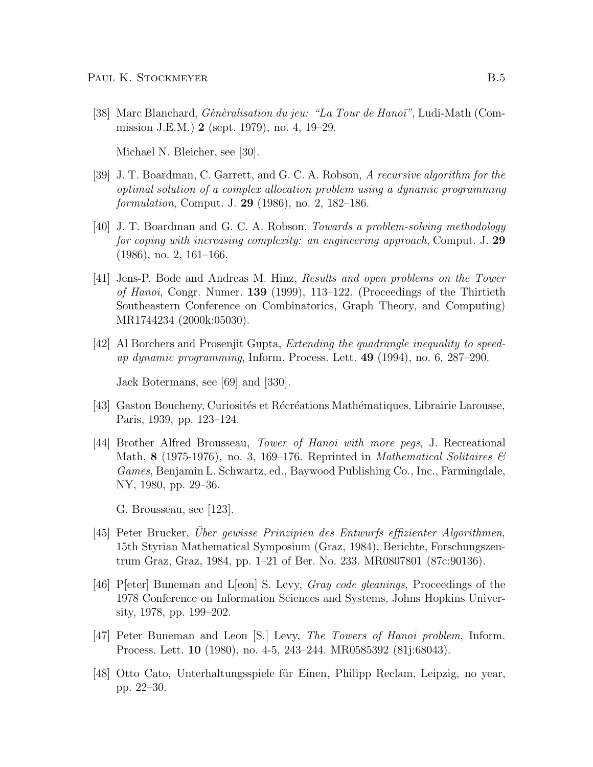[38] Marc Blanchard, *Gènèralisation du jeu: "La Tour de Hanoï"*, Ludi-Math (Commission J.E.M.) 2 (sept. 1979), no. 4, 19–29.

Michael N. Bleicher, see [30].

- [39] J. T. Boardman, C. Garrett, and G. C. A. Robson, A recursive algorithm for the optimal solution of a complex allocation problem using a dynamic programming formulation, Comput. J. 29 (1986), no. 2, 182–186.
- [40] J. T. Boardman and G. C. A. Robson, Towards a problem-solving methodology for coping with increasing complexity: an engineering approach, Comput. J. 29 (1986), no. 2, 161–166.
- [41] Jens-P. Bode and Andreas M. Hinz, Results and open problems on the Tower of Hanoi, Congr. Numer. 139 (1999), 113–122. (Proceedings of the Thirtieth Southeastern Conference on Combinatorics, Graph Theory, and Computing) MR1744234 (2000k:05030).
- [42] Al Borchers and Prosenjit Gupta, Extending the quadrangle inequality to speedup dynamic programming, Inform. Process. Lett.  $49$  (1994), no. 6, 287–290.

Jack Botermans, see [69] and [330].

- [43] Gaston Boucheny, Curiosités et Récréations Mathématiques, Librairie Larousse, Paris, 1939, pp. 123–124.
- [44] Brother Alfred Brousseau, Tower of Hanoi with more pegs, J. Recreational Math. 8 (1975-1976), no. 3, 169–176. Reprinted in *Mathematical Solitaires*  $\mathscr{C}$ Games, Benjamin L. Schwartz, ed., Baywood Publishing Co., Inc., Farmingdale, NY, 1980, pp. 29–36.

G. Brousseau, see [123].

- [45] Peter Brucker, Uber gewisse Prinzipien des Entwurfs effizienter Algorithmen, 15th Styrian Mathematical Symposium (Graz, 1984), Berichte, Forschungszentrum Graz, Graz, 1984, pp. 1–21 of Ber. No. 233. MR0807801 (87c:90136).
- [46] P[eter] Buneman and L[eon] S. Levy, *Gray code gleanings*, Proceedings of the 1978 Conference on Information Sciences and Systems, Johns Hopkins University, 1978, pp. 199–202.
- [47] Peter Buneman and Leon [S.] Levy, The Towers of Hanoi problem, Inform. Process. Lett. 10 (1980), no. 4-5, 243–244. MR0585392 (81j:68043).
- [48] Otto Cato, Unterhaltungsspiele für Einen, Philipp Reclam, Leipzig, no year, pp. 22–30.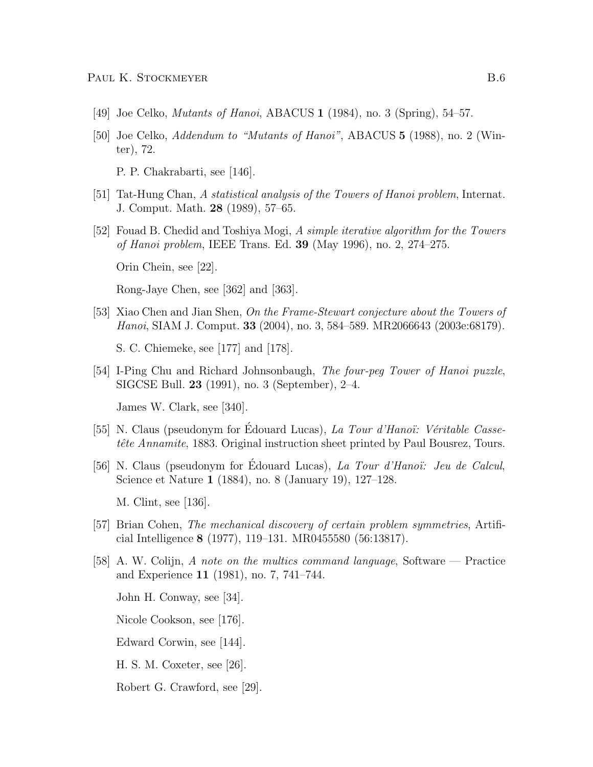- [49] Joe Celko, Mutants of Hanoi, ABACUS 1 (1984), no. 3 (Spring), 54–57.
- [50] Joe Celko, Addendum to "Mutants of Hanoi", ABACUS 5 (1988), no. 2 (Winter), 72.

P. P. Chakrabarti, see [146].

- [51] Tat-Hung Chan, A statistical analysis of the Towers of Hanoi problem, Internat. J. Comput. Math. 28 (1989), 57–65.
- [52] Fouad B. Chedid and Toshiya Mogi, A simple iterative algorithm for the Towers of Hanoi problem, IEEE Trans. Ed. 39 (May 1996), no. 2, 274–275.

Orin Chein, see [22].

Rong-Jaye Chen, see [362] and [363].

[53] Xiao Chen and Jian Shen, On the Frame-Stewart conjecture about the Towers of Hanoi, SIAM J. Comput. 33 (2004), no. 3, 584–589. MR2066643 (2003e:68179).

S. C. Chiemeke, see [177] and [178].

[54] I-Ping Chu and Richard Johnsonbaugh, The four-peg Tower of Hanoi puzzle, SIGCSE Bull. 23 (1991), no. 3 (September), 2–4.

James W. Clark, see [340].

- [55] N. Claus (pseudonym for Édouard Lucas), *La Tour d'Hanoï*: *Véritable Casse*tête Annamite, 1883. Original instruction sheet printed by Paul Bousrez, Tours.
- [56] N. Claus (pseudonym for Edouard Lucas), La Tour d'Hanoï: Jeu de Calcul, Science et Nature 1 (1884), no. 8 (January 19), 127–128.

M. Clint, see [136].

- [57] Brian Cohen, The mechanical discovery of certain problem symmetries, Artificial Intelligence 8 (1977), 119–131. MR0455580 (56:13817).
- [58] A. W. Colijn, A note on the multics command language, Software Practice and Experience 11 (1981), no. 7, 741–744.

John H. Conway, see [34].

Nicole Cookson, see [176].

- Edward Corwin, see [144].
- H. S. M. Coxeter, see [26].

Robert G. Crawford, see [29].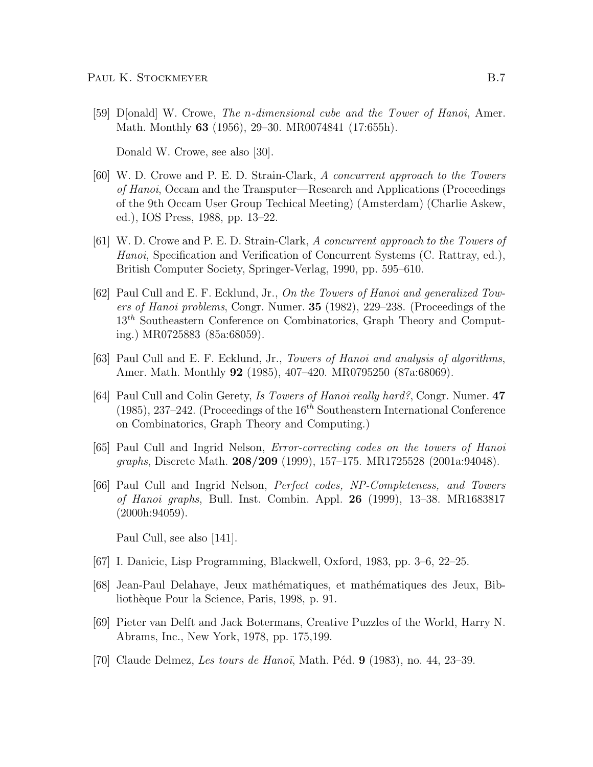[59] D[onald] W. Crowe, The n-dimensional cube and the Tower of Hanoi, Amer. Math. Monthly 63 (1956), 29–30. MR0074841 (17:655h).

Donald W. Crowe, see also [30].

- [60] W. D. Crowe and P. E. D. Strain-Clark, A concurrent approach to the Towers of Hanoi, Occam and the Transputer—Research and Applications (Proceedings of the 9th Occam User Group Techical Meeting) (Amsterdam) (Charlie Askew, ed.), IOS Press, 1988, pp. 13–22.
- [61] W. D. Crowe and P. E. D. Strain-Clark, A concurrent approach to the Towers of Hanoi, Specification and Verification of Concurrent Systems (C. Rattray, ed.), British Computer Society, Springer-Verlag, 1990, pp. 595–610.
- [62] Paul Cull and E. F. Ecklund, Jr., On the Towers of Hanoi and generalized Towers of Hanoi problems, Congr. Numer. 35 (1982), 229–238. (Proceedings of the 13<sup>th</sup> Southeastern Conference on Combinatorics, Graph Theory and Computing.) MR0725883 (85a:68059).
- [63] Paul Cull and E. F. Ecklund, Jr., Towers of Hanoi and analysis of algorithms, Amer. Math. Monthly 92 (1985), 407-420. MR0795250 (87a:68069).
- [64] Paul Cull and Colin Gerety, Is Towers of Hanoi really hard?, Congr. Numer. 47 (1985), 237–242. (Proceedings of the  $16<sup>th</sup>$  Southeastern International Conference on Combinatorics, Graph Theory and Computing.)
- [65] Paul Cull and Ingrid Nelson, Error-correcting codes on the towers of Hanoi graphs, Discrete Math. 208/209 (1999), 157–175. MR1725528 (2001a:94048).
- [66] Paul Cull and Ingrid Nelson, Perfect codes, NP-Completeness, and Towers of Hanoi graphs, Bull. Inst. Combin. Appl. 26 (1999), 13–38. MR1683817 (2000h:94059).

Paul Cull, see also [141].

- [67] I. Danicic, Lisp Programming, Blackwell, Oxford, 1983, pp. 3–6, 22–25.
- [68] Jean-Paul Delahaye, Jeux math´ematiques, et math´ematiques des Jeux, Bibliothèque Pour la Science, Paris, 1998, p. 91.
- [69] Pieter van Delft and Jack Botermans, Creative Puzzles of the World, Harry N. Abrams, Inc., New York, 1978, pp. 175,199.
- [70] Claude Delmez, Les tours de Hanoï, Math. Péd. 9 (1983), no. 44, 23–39.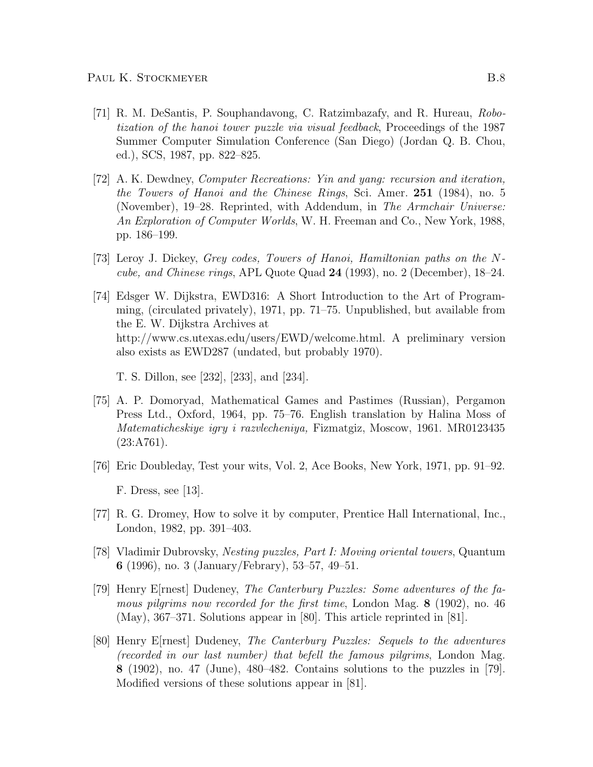- [71] R. M. DeSantis, P. Souphandavong, C. Ratzimbazafy, and R. Hureau, Robotization of the hanoi tower puzzle via visual feedback, Proceedings of the 1987 Summer Computer Simulation Conference (San Diego) (Jordan Q. B. Chou, ed.), SCS, 1987, pp. 822–825.
- [72] A. K. Dewdney, Computer Recreations: Yin and yang: recursion and iteration, the Towers of Hanoi and the Chinese Rings, Sci. Amer. 251 (1984), no. 5 (November), 19–28. Reprinted, with Addendum, in The Armchair Universe: An Exploration of Computer Worlds, W. H. Freeman and Co., New York, 1988, pp. 186–199.
- [73] Leroy J. Dickey, Grey codes, Towers of Hanoi, Hamiltonian paths on the Ncube, and Chinese rings, APL Quote Quad 24 (1993), no. 2 (December), 18–24.
- [74] Edsger W. Dijkstra, EWD316: A Short Introduction to the Art of Programming, (circulated privately), 1971, pp. 71–75. Unpublished, but available from the E. W. Dijkstra Archives at http://www.cs.utexas.edu/users/EWD/welcome.html. A preliminary version also exists as EWD287 (undated, but probably 1970).

T. S. Dillon, see [232], [233], and [234].

- [75] A. P. Domoryad, Mathematical Games and Pastimes (Russian), Pergamon Press Ltd., Oxford, 1964, pp. 75–76. English translation by Halina Moss of Matematicheskiye igry i razvlecheniya, Fizmatgiz, Moscow, 1961. MR0123435  $(23: A761).$
- [76] Eric Doubleday, Test your wits, Vol. 2, Ace Books, New York, 1971, pp. 91–92. F. Dress, see [13].
- [77] R. G. Dromey, How to solve it by computer, Prentice Hall International, Inc., London, 1982, pp. 391–403.
- [78] Vladimir Dubrovsky, Nesting puzzles, Part I: Moving oriental towers, Quantum 6 (1996), no. 3 (January/Febrary), 53–57, 49–51.
- [79] Henry E[rnest] Dudeney, The Canterbury Puzzles: Some adventures of the famous pilgrims now recorded for the first time, London Mag. 8 (1902), no. 46 (May), 367–371. Solutions appear in [80]. This article reprinted in [81].
- [80] Henry E[rnest] Dudeney, The Canterbury Puzzles: Sequels to the adventures (recorded in our last number) that befell the famous pilgrims, London Mag. 8 (1902), no. 47 (June), 480–482. Contains solutions to the puzzles in [79]. Modified versions of these solutions appear in [81].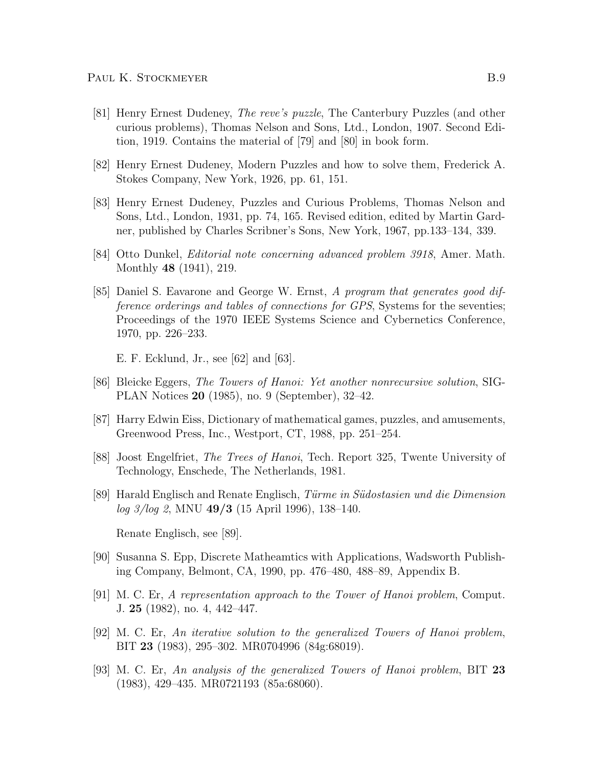- [81] Henry Ernest Dudeney, The reve's puzzle, The Canterbury Puzzles (and other curious problems), Thomas Nelson and Sons, Ltd., London, 1907. Second Edition, 1919. Contains the material of [79] and [80] in book form.
- [82] Henry Ernest Dudeney, Modern Puzzles and how to solve them, Frederick A. Stokes Company, New York, 1926, pp. 61, 151.
- [83] Henry Ernest Dudeney, Puzzles and Curious Problems, Thomas Nelson and Sons, Ltd., London, 1931, pp. 74, 165. Revised edition, edited by Martin Gardner, published by Charles Scribner's Sons, New York, 1967, pp.133–134, 339.
- [84] Otto Dunkel, Editorial note concerning advanced problem 3918, Amer. Math. Monthly 48 (1941), 219.
- [85] Daniel S. Eavarone and George W. Ernst, A program that generates good difference orderings and tables of connections for GPS, Systems for the seventies; Proceedings of the 1970 IEEE Systems Science and Cybernetics Conference, 1970, pp. 226–233.

E. F. Ecklund, Jr., see [62] and [63].

- [86] Bleicke Eggers, The Towers of Hanoi: Yet another nonrecursive solution, SIG-PLAN Notices 20 (1985), no. 9 (September), 32–42.
- [87] Harry Edwin Eiss, Dictionary of mathematical games, puzzles, and amusements, Greenwood Press, Inc., Westport, CT, 1988, pp. 251–254.
- [88] Joost Engelfriet, The Trees of Hanoi, Tech. Report 325, Twente University of Technology, Enschede, The Netherlands, 1981.
- [89] Harald Englisch and Renate Englisch, Türme in Südostasien und die Dimension  $log\ 3/log\ 2$ , MNU 49/3 (15 April 1996), 138–140.

Renate Englisch, see [89].

- [90] Susanna S. Epp, Discrete Matheamtics with Applications, Wadsworth Publishing Company, Belmont, CA, 1990, pp. 476–480, 488–89, Appendix B.
- [91] M. C. Er, A representation approach to the Tower of Hanoi problem, Comput. J. 25 (1982), no. 4, 442–447.
- [92] M. C. Er, An iterative solution to the generalized Towers of Hanoi problem, BIT 23 (1983), 295–302. MR0704996 (84g:68019).
- [93] M. C. Er, An analysis of the generalized Towers of Hanoi problem, BIT 23 (1983), 429–435. MR0721193 (85a:68060).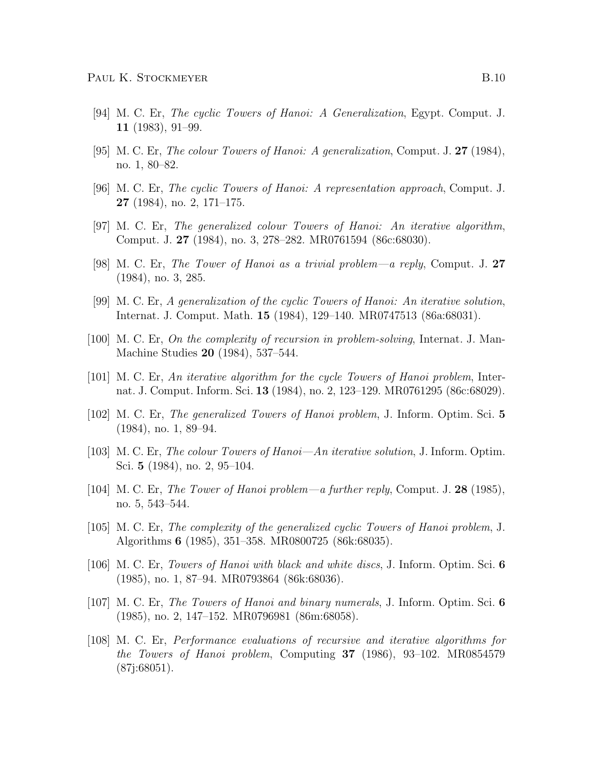- [94] M. C. Er, The cyclic Towers of Hanoi: A Generalization, Egypt. Comput. J. 11 (1983), 91–99.
- [95] M. C. Er, The colour Towers of Hanoi: A generalization, Comput. J. 27 (1984), no. 1, 80–82.
- [96] M. C. Er, The cyclic Towers of Hanoi: A representation approach, Comput. J.  $27$  (1984), no. 2, 171–175.
- [97] M. C. Er, The generalized colour Towers of Hanoi: An iterative algorithm, Comput. J. 27 (1984), no. 3, 278–282. MR0761594 (86c:68030).
- [98] M. C. Er, The Tower of Hanoi as a trivial problem—a reply, Comput. J. 27 (1984), no. 3, 285.
- [99] M. C. Er, A generalization of the cyclic Towers of Hanoi: An iterative solution, Internat. J. Comput. Math. 15 (1984), 129–140. MR0747513 (86a:68031).
- [100] M. C. Er, On the complexity of recursion in problem-solving, Internat. J. Man-Machine Studies 20 (1984), 537–544.
- [101] M. C. Er, An iterative algorithm for the cycle Towers of Hanoi problem, Internat. J. Comput. Inform. Sci. 13 (1984), no. 2, 123–129. MR0761295 (86c:68029).
- [102] M. C. Er, The generalized Towers of Hanoi problem, J. Inform. Optim. Sci. 5 (1984), no. 1, 89–94.
- [103] M. C. Er, The colour Towers of Hanoi—An iterative solution, J. Inform. Optim. Sci. 5 (1984), no. 2, 95–104.
- [104] M. C. Er, The Tower of Hanoi problem—a further reply, Comput. J. 28 (1985), no. 5, 543–544.
- [105] M. C. Er, The complexity of the generalized cyclic Towers of Hanoi problem, J. Algorithms 6 (1985), 351–358. MR0800725 (86k:68035).
- [106] M. C. Er, Towers of Hanoi with black and white discs, J. Inform. Optim. Sci. 6 (1985), no. 1, 87–94. MR0793864 (86k:68036).
- [107] M. C. Er, The Towers of Hanoi and binary numerals, J. Inform. Optim. Sci. 6 (1985), no. 2, 147–152. MR0796981 (86m:68058).
- [108] M. C. Er, Performance evaluations of recursive and iterative algorithms for the Towers of Hanoi problem, Computing 37 (1986), 93–102. MR0854579 (87j:68051).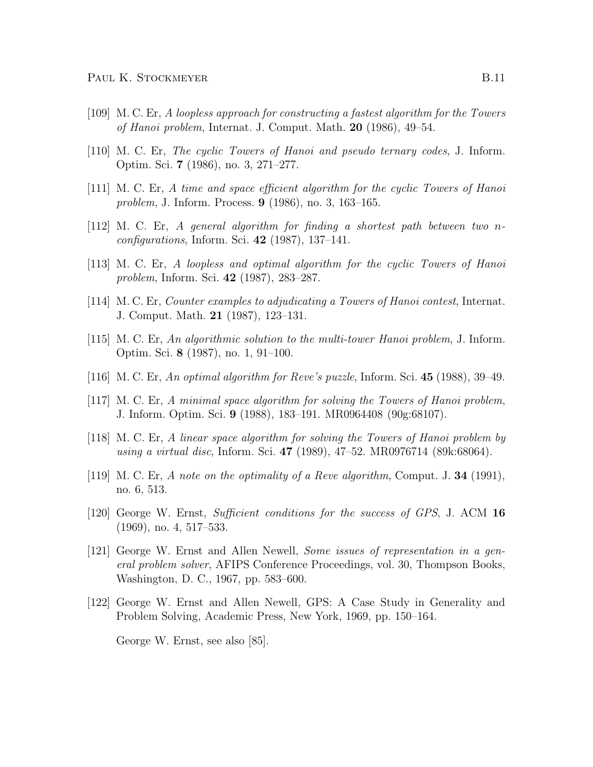- [109] M. C. Er, A loopless approach for constructing a fastest algorithm for the Towers of Hanoi problem, Internat. J. Comput. Math. 20 (1986), 49–54.
- [110] M. C. Er, The cyclic Towers of Hanoi and pseudo ternary codes, J. Inform. Optim. Sci. 7 (1986), no. 3, 271–277.
- [111] M. C. Er, A time and space efficient algorithm for the cyclic Towers of Hanoi problem, J. Inform. Process. 9 (1986), no. 3, 163–165.
- [112] M. C. Er, A general algorithm for finding a shortest path between two n $conf quartions, Inform. Sci. 42 (1987), 137-141.$
- [113] M. C. Er, A loopless and optimal algorithm for the cyclic Towers of Hanoi problem, Inform. Sci. 42 (1987), 283–287.
- [114] M. C. Er, Counter examples to adjudicating a Towers of Hanoi contest, Internat. J. Comput. Math. 21 (1987), 123–131.
- [115] M. C. Er, An algorithmic solution to the multi-tower Hanoi problem, J. Inform. Optim. Sci. 8 (1987), no. 1, 91–100.
- [116] M. C. Er, An optimal algorithm for Reve's puzzle, Inform. Sci. 45 (1988), 39–49.
- [117] M. C. Er, A minimal space algorithm for solving the Towers of Hanoi problem, J. Inform. Optim. Sci. 9 (1988), 183–191. MR0964408 (90g:68107).
- [118] M. C. Er, A linear space algorithm for solving the Towers of Hanoi problem by using a virtual disc, Inform. Sci. 47 (1989), 47–52. MR0976714 (89k:68064).
- [119] M. C. Er, A note on the optimality of a Reve algorithm, Comput. J. 34 (1991), no. 6, 513.
- [120] George W. Ernst, Sufficient conditions for the success of GPS, J. ACM 16 (1969), no. 4, 517–533.
- [121] George W. Ernst and Allen Newell, Some issues of representation in a general problem solver, AFIPS Conference Proceedings, vol. 30, Thompson Books, Washington, D. C., 1967, pp. 583–600.
- [122] George W. Ernst and Allen Newell, GPS: A Case Study in Generality and Problem Solving, Academic Press, New York, 1969, pp. 150–164.

George W. Ernst, see also [85].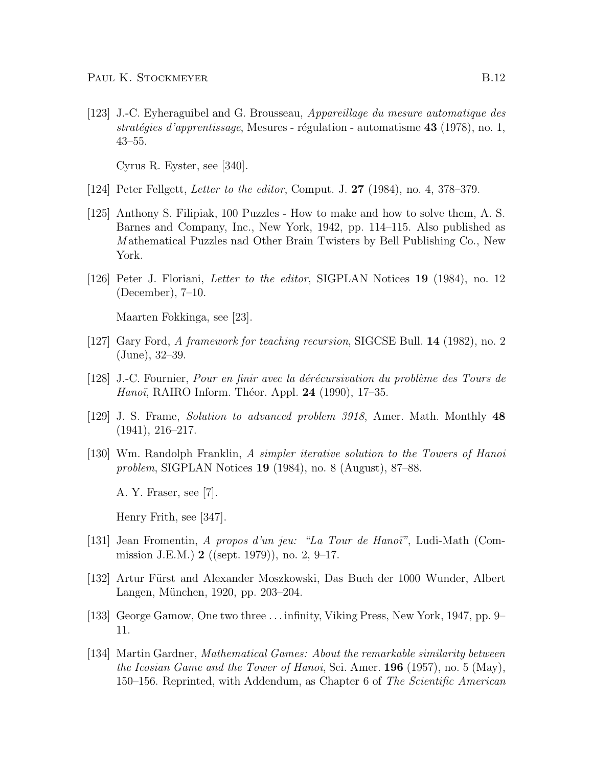[123] J.-C. Eyheraguibel and G. Brousseau, Appareillage du mesure automatique des stratégies d'apprentissage, Mesures - régulation - automatisme 43 (1978), no. 1, 43–55.

Cyrus R. Eyster, see [340].

- [124] Peter Fellgett, Letter to the editor, Comput. J. 27 (1984), no. 4, 378–379.
- [125] Anthony S. Filipiak, 100 Puzzles How to make and how to solve them, A. S. Barnes and Company, Inc., New York, 1942, pp. 114–115. Also published as M athematical Puzzles nad Other Brain Twisters by Bell Publishing Co., New York.
- [126] Peter J. Floriani, Letter to the editor, SIGPLAN Notices 19 (1984), no. 12 (December), 7–10.

Maarten Fokkinga, see [23].

- [127] Gary Ford, A framework for teaching recursion, SIGCSE Bull. 14 (1982), no. 2 (June), 32–39.
- $[128]$  J.-C. Fournier, *Pour en finir avec la dérécursivation du problème des Tours de Hanoï*, RAIRO Inform. Théor. Appl. 24 (1990), 17–35.
- [129] J. S. Frame, Solution to advanced problem 3918, Amer. Math. Monthly 48 (1941), 216–217.
- [130] Wm. Randolph Franklin, A simpler iterative solution to the Towers of Hanoi problem, SIGPLAN Notices 19 (1984), no. 8 (August), 87–88.

A. Y. Fraser, see [7].

Henry Frith, see [347].

- [131] Jean Fromentin, A propos d'un jeu: "La Tour de Hano¨ı", Ludi-Math (Commission J.E.M.) 2 ((sept. 1979)), no. 2, 9–17.
- [132] Artur Fürst and Alexander Moszkowski, Das Buch der 1000 Wunder, Albert Langen, München, 1920, pp. 203–204.
- [133] George Gamow, One two three . . . infinity, Viking Press, New York, 1947, pp. 9– 11.
- [134] Martin Gardner, Mathematical Games: About the remarkable similarity between the Icosian Game and the Tower of Hanoi, Sci. Amer. 196 (1957), no. 5 (May), 150–156. Reprinted, with Addendum, as Chapter 6 of The Scientific American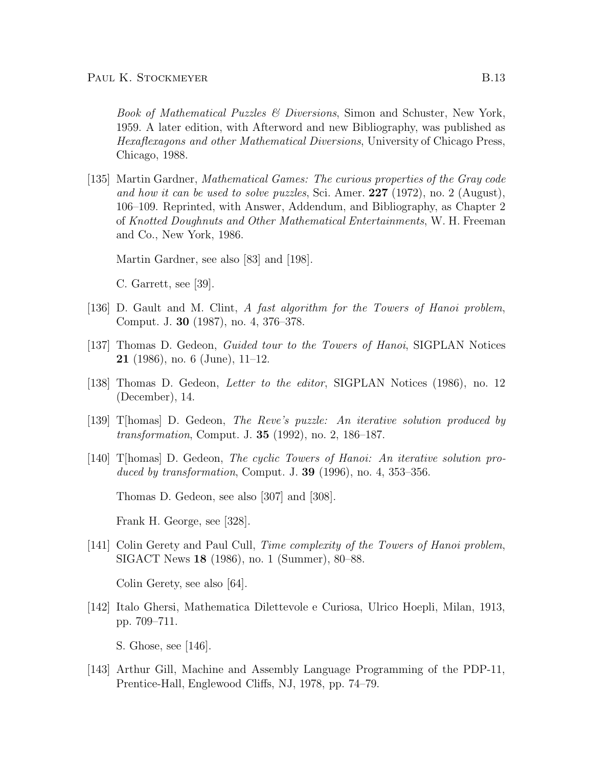Book of Mathematical Puzzles & Diversions, Simon and Schuster, New York, 1959. A later edition, with Afterword and new Bibliography, was published as Hexaflexagons and other Mathematical Diversions, University of Chicago Press, Chicago, 1988.

[135] Martin Gardner, Mathematical Games: The curious properties of the Gray code and how it can be used to solve puzzles, Sci. Amer. 227 (1972), no. 2 (August), 106–109. Reprinted, with Answer, Addendum, and Bibliography, as Chapter 2 of Knotted Doughnuts and Other Mathematical Entertainments, W. H. Freeman and Co., New York, 1986.

Martin Gardner, see also [83] and [198].

C. Garrett, see [39].

- [136] D. Gault and M. Clint, A fast algorithm for the Towers of Hanoi problem, Comput. J. 30 (1987), no. 4, 376–378.
- [137] Thomas D. Gedeon, Guided tour to the Towers of Hanoi, SIGPLAN Notices **21** (1986), no. 6 (June),  $11-12$ .
- [138] Thomas D. Gedeon, Letter to the editor, SIGPLAN Notices (1986), no. 12 (December), 14.
- [139] T[homas] D. Gedeon, The Reve's puzzle: An iterative solution produced by transformation, Comput. J. 35 (1992), no. 2, 186–187.
- [140] T[homas] D. Gedeon, The cyclic Towers of Hanoi: An iterative solution produced by transformation, Comput. J.  $39$  (1996), no. 4, 353–356.

Thomas D. Gedeon, see also [307] and [308].

Frank H. George, see [328].

[141] Colin Gerety and Paul Cull, *Time complexity of the Towers of Hanoi problem*, SIGACT News 18 (1986), no. 1 (Summer), 80–88.

Colin Gerety, see also [64].

[142] Italo Ghersi, Mathematica Dilettevole e Curiosa, Ulrico Hoepli, Milan, 1913, pp. 709–711.

S. Ghose, see [146].

[143] Arthur Gill, Machine and Assembly Language Programming of the PDP-11, Prentice-Hall, Englewood Cliffs, NJ, 1978, pp. 74–79.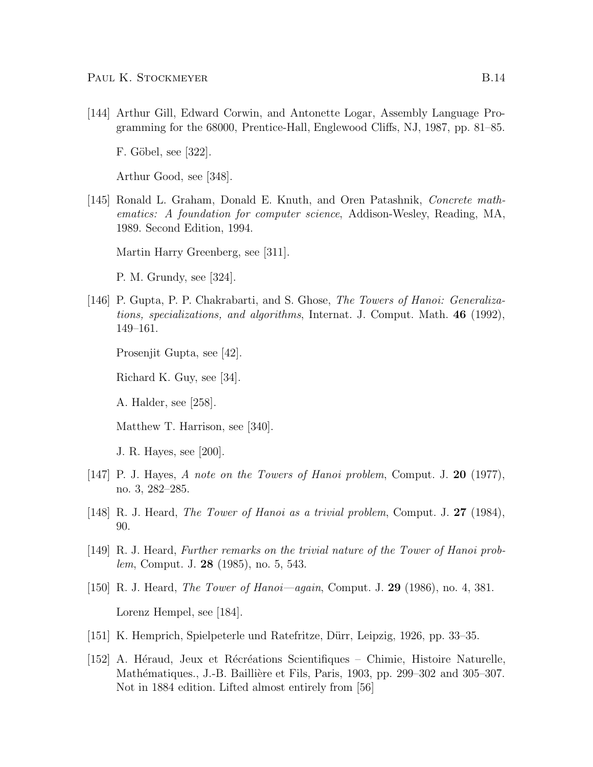[144] Arthur Gill, Edward Corwin, and Antonette Logar, Assembly Language Programming for the 68000, Prentice-Hall, Englewood Cliffs, NJ, 1987, pp. 81–85.

F. Göbel, see [322].

Arthur Good, see [348].

[145] Ronald L. Graham, Donald E. Knuth, and Oren Patashnik, Concrete mathematics: A foundation for computer science, Addison-Wesley, Reading, MA, 1989. Second Edition, 1994.

Martin Harry Greenberg, see [311].

P. M. Grundy, see [324].

[146] P. Gupta, P. P. Chakrabarti, and S. Ghose, The Towers of Hanoi: Generalizations, specializations, and algorithms, Internat. J. Comput. Math. 46 (1992), 149–161.

Prosenjit Gupta, see [42].

Richard K. Guy, see [34].

A. Halder, see [258].

Matthew T. Harrison, see [340].

J. R. Hayes, see [200].

- [147] P. J. Hayes, A note on the Towers of Hanoi problem, Comput. J. 20 (1977), no. 3, 282–285.
- [148] R. J. Heard, The Tower of Hanoi as a trivial problem, Comput. J. 27 (1984), 90.
- [149] R. J. Heard, Further remarks on the trivial nature of the Tower of Hanoi problem, Comput. J. 28 (1985), no. 5, 543.
- [150] R. J. Heard, The Tower of Hanoi—again, Comput. J. 29 (1986), no. 4, 381. Lorenz Hempel, see [184].
- [151] K. Hemprich, Spielpeterle und Ratefritze, D¨urr, Leipzig, 1926, pp. 33–35.
- [152] A. Héraud, Jeux et Récréations Scientifiques Chimie, Histoire Naturelle, Mathématiques., J.-B. Baillière et Fils, Paris, 1903, pp. 299–302 and 305–307. Not in 1884 edition. Lifted almost entirely from [56]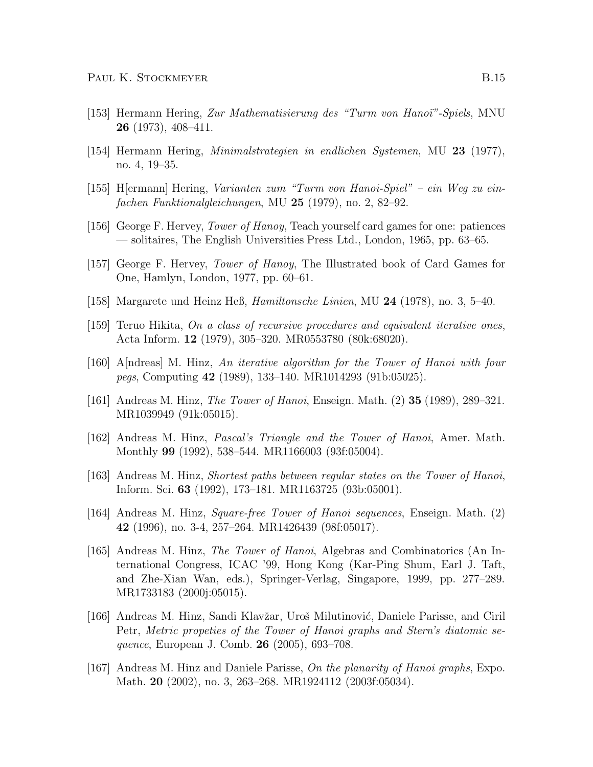- [153] Hermann Hering, Zur Mathematisierung des "Turm von Hano¨ı"-Spiels, MNU 26 (1973), 408–411.
- [154] Hermann Hering, Minimalstrategien in endlichen Systemen, MU 23 (1977), no. 4, 19–35.
- [155] H[ermann] Hering, Varianten zum "Turm von Hanoi-Spiel" ein Weg zu einfachen Funktionalgleichungen, MU 25 (1979), no. 2, 82–92.
- [156] George F. Hervey, Tower of Hanoy, Teach yourself card games for one: patiences — solitaires, The English Universities Press Ltd., London, 1965, pp. 63–65.
- [157] George F. Hervey, Tower of Hanoy, The Illustrated book of Card Games for One, Hamlyn, London, 1977, pp. 60–61.
- [158] Margarete und Heinz Heß,  $Hamiltonische Linien$ , MU 24 (1978), no. 3, 5–40.
- [159] Teruo Hikita, On a class of recursive procedures and equivalent iterative ones, Acta Inform. 12 (1979), 305–320. MR0553780 (80k:68020).
- [160] A[ndreas] M. Hinz, An iterative algorithm for the Tower of Hanoi with four pegs, Computing 42 (1989), 133–140. MR1014293 (91b:05025).
- [161] Andreas M. Hinz, The Tower of Hanoi, Enseign. Math. (2) 35 (1989), 289–321. MR1039949 (91k:05015).
- [162] Andreas M. Hinz, Pascal's Triangle and the Tower of Hanoi, Amer. Math. Monthly 99 (1992), 538–544. MR1166003 (93f:05004).
- [163] Andreas M. Hinz, Shortest paths between regular states on the Tower of Hanoi, Inform. Sci. 63 (1992), 173–181. MR1163725 (93b:05001).
- [164] Andreas M. Hinz, Square-free Tower of Hanoi sequences, Enseign. Math. (2) 42 (1996), no. 3-4, 257–264. MR1426439 (98f:05017).
- [165] Andreas M. Hinz, The Tower of Hanoi, Algebras and Combinatorics (An International Congress, ICAC '99, Hong Kong (Kar-Ping Shum, Earl J. Taft, and Zhe-Xian Wan, eds.), Springer-Verlag, Singapore, 1999, pp. 277–289. MR1733183 (2000j:05015).
- [166] Andreas M. Hinz, Sandi Klavžar, Uroš Milutinović, Daniele Parisse, and Ciril Petr, Metric propeties of the Tower of Hanoi graphs and Stern's diatomic sequence, European J. Comb. 26 (2005), 693–708.
- [167] Andreas M. Hinz and Daniele Parisse, On the planarity of Hanoi graphs, Expo. Math. **20** (2002), no. 3, 263–268. MR1924112 (2003f:05034).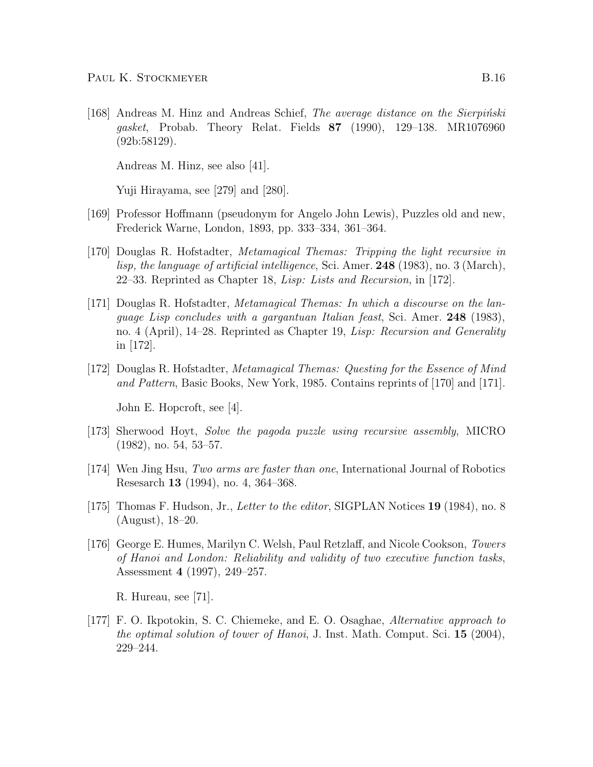[168] Andreas M. Hinz and Andreas Schief, *The average distance on the Sierpinski* gasket, Probab. Theory Relat. Fields 87 (1990), 129–138. MR1076960 (92b:58129).

Andreas M. Hinz, see also [41].

Yuji Hirayama, see [279] and [280].

- [169] Professor Hoffmann (pseudonym for Angelo John Lewis), Puzzles old and new, Frederick Warne, London, 1893, pp. 333–334, 361–364.
- [170] Douglas R. Hofstadter, Metamagical Themas: Tripping the light recursive in lisp, the language of artificial intelligence, Sci. Amer. 248 (1983), no. 3 (March), 22–33. Reprinted as Chapter 18, Lisp: Lists and Recursion, in [172].
- [171] Douglas R. Hofstadter, Metamagical Themas: In which a discourse on the language Lisp concludes with a gargantuan Italian feast, Sci. Amer. 248 (1983), no. 4 (April), 14–28. Reprinted as Chapter 19, Lisp: Recursion and Generality in [172].
- [172] Douglas R. Hofstadter, Metamagical Themas: Questing for the Essence of Mind and Pattern, Basic Books, New York, 1985. Contains reprints of [170] and [171].

John E. Hopcroft, see [4].

- [173] Sherwood Hoyt, Solve the pagoda puzzle using recursive assembly, MICRO (1982), no. 54, 53–57.
- [174] Wen Jing Hsu, Two arms are faster than one, International Journal of Robotics Resesarch 13 (1994), no. 4, 364–368.
- [175] Thomas F. Hudson, Jr., Letter to the editor, SIGPLAN Notices 19 (1984), no. 8 (August), 18–20.
- [176] George E. Humes, Marilyn C. Welsh, Paul Retzlaff, and Nicole Cookson, Towers of Hanoi and London: Reliability and validity of two executive function tasks, Assessment 4 (1997), 249–257.

R. Hureau, see [71].

[177] F. O. Ikpotokin, S. C. Chiemeke, and E. O. Osaghae, Alternative approach to the optimal solution of tower of Hanoi, J. Inst. Math. Comput. Sci.  $15$  (2004), 229–244.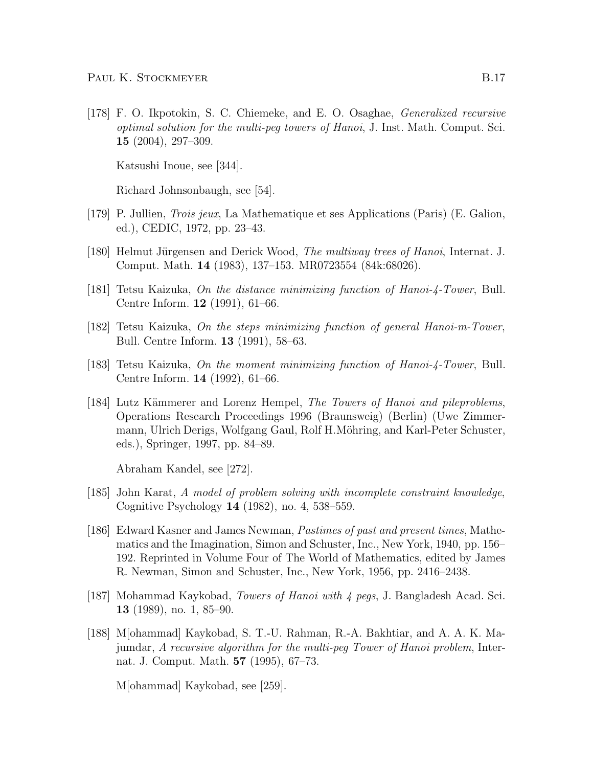[178] F. O. Ikpotokin, S. C. Chiemeke, and E. O. Osaghae, Generalized recursive optimal solution for the multi-peg towers of Hanoi, J. Inst. Math. Comput. Sci. 15 (2004), 297–309.

Katsushi Inoue, see [344].

Richard Johnsonbaugh, see [54].

- [179] P. Jullien, Trois jeux, La Mathematique et ses Applications (Paris) (E. Galion, ed.), CEDIC, 1972, pp. 23–43.
- [180] Helmut Jürgensen and Derick Wood, *The multiway trees of Hanoi*, Internat. J. Comput. Math. 14 (1983), 137–153. MR0723554 (84k:68026).
- [181] Tetsu Kaizuka, On the distance minimizing function of Hanoi-4-Tower, Bull. Centre Inform. 12 (1991), 61–66.
- [182] Tetsu Kaizuka, On the steps minimizing function of general Hanoi-m-Tower, Bull. Centre Inform. 13 (1991), 58–63.
- [183] Tetsu Kaizuka, On the moment minimizing function of Hanoi-4-Tower, Bull. Centre Inform. 14 (1992), 61–66.
- [184] Lutz Kämmerer and Lorenz Hempel, *The Towers of Hanoi and pileproblems*, Operations Research Proceedings 1996 (Braunsweig) (Berlin) (Uwe Zimmermann, Ulrich Derigs, Wolfgang Gaul, Rolf H.Möhring, and Karl-Peter Schuster, eds.), Springer, 1997, pp. 84–89.

Abraham Kandel, see [272].

- [185] John Karat, A model of problem solving with incomplete constraint knowledge, Cognitive Psychology 14 (1982), no. 4, 538–559.
- [186] Edward Kasner and James Newman, Pastimes of past and present times, Mathematics and the Imagination, Simon and Schuster, Inc., New York, 1940, pp. 156– 192. Reprinted in Volume Four of The World of Mathematics, edited by James R. Newman, Simon and Schuster, Inc., New York, 1956, pp. 2416–2438.
- [187] Mohammad Kaykobad, Towers of Hanoi with 4 pegs, J. Bangladesh Acad. Sci. 13 (1989), no. 1, 85–90.
- [188] M[ohammad] Kaykobad, S. T.-U. Rahman, R.-A. Bakhtiar, and A. A. K. Majumdar, A recursive algorithm for the multi-peg Tower of Hanoi problem, Internat. J. Comput. Math. 57 (1995), 67–73.

M[ohammad] Kaykobad, see [259].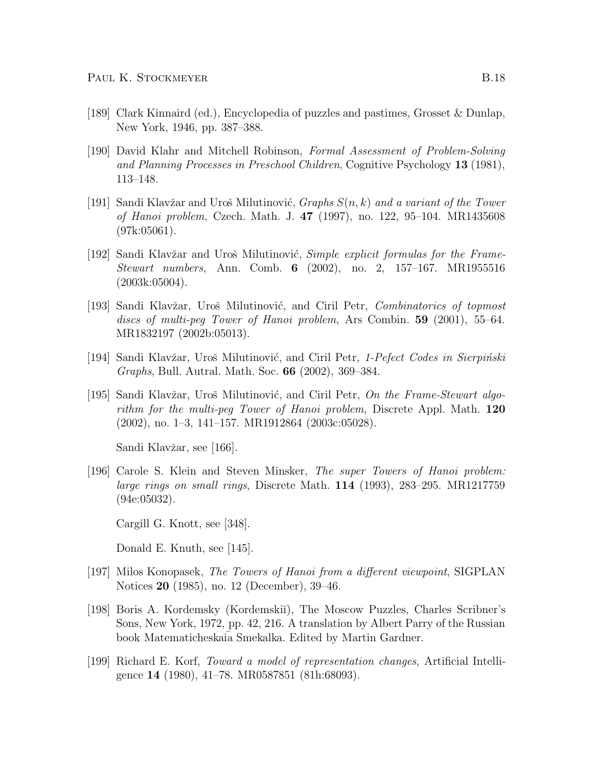- [189] Clark Kinnaird (ed.), Encyclopedia of puzzles and pastimes, Grosset & Dunlap, New York, 1946, pp. 387–388.
- [190] David Klahr and Mitchell Robinson, Formal Assessment of Problem-Solving and Planning Processes in Preschool Children, Cognitive Psychology 13 (1981), 113–148.
- [191] Sandi Klavžar and Uroš Milutinović, Graphs  $S(n, k)$  and a variant of the Tower of Hanoi problem, Czech. Math. J. 47 (1997), no. 122, 95–104. MR1435608  $(97k:05061)$ .
- [192] Sandi Klavžar and Uroš Milutinović, *Simple explicit formulas for the Frame-*Stewart numbers, Ann. Comb. 6 (2002), no. 2, 157–167. MR1955516 (2003k:05004).
- [193] Sandi Klavžar, Uroš Milutinović, and Ciril Petr, *Combinatorics of topmost* discs of multi-peg Tower of Hanoi problem, Ars Combin. 59 (2001), 55–64. MR1832197 (2002b:05013).
- [194] Sandi Klavžar, Uroš Milutinović, and Ciril Petr, 1-Pefect Codes in Sierpiński Graphs, Bull. Autral. Math. Soc. 66 (2002), 369–384.
- [195] Sandi Klavžar, Uroš Milutinović, and Ciril Petr,  $On$  the Frame-Stewart algorithm for the multi-peg Tower of Hanoi problem, Discrete Appl. Math. 120 (2002), no. 1–3, 141–157. MR1912864 (2003c:05028).

Sandi Klavžar, see [166].

[196] Carole S. Klein and Steven Minsker, The super Towers of Hanoi problem: large rings on small rings, Discrete Math. 114 (1993), 283–295. MR1217759 (94e:05032).

Cargill G. Knott, see [348].

Donald E. Knuth, see [145].

- [197] Milos Konopasek, The Towers of Hanoi from a different viewpoint, SIGPLAN Notices 20 (1985), no. 12 (December), 39–46.
- [198] Boris A. Kordemsky (Kordemski˘ı), The Moscow Puzzles, Charles Scribner's Sons, New York, 1972, pp. 42, 216. A translation by Albert Parry of the Russian book Matematicheskaia Smekalka. Edited by Martin Gardner.
- [199] Richard E. Korf, Toward a model of representation changes, Artificial Intelligence 14 (1980), 41–78. MR0587851 (81h:68093).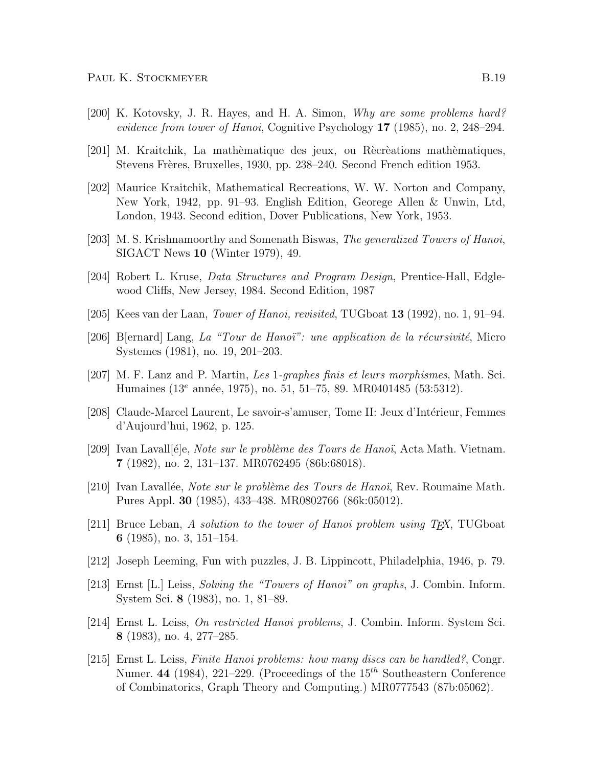- [200] K. Kotovsky, J. R. Hayes, and H. A. Simon, Why are some problems hard? evidence from tower of Hanoi, Cognitive Psychology 17 (1985), no. 2, 248–294.
- [201] M. Kraitchik, La mathèmatique des jeux, ou Rècrèations mathèmatiques, Stevens Frères, Bruxelles, 1930, pp. 238–240. Second French edition 1953.
- [202] Maurice Kraitchik, Mathematical Recreations, W. W. Norton and Company, New York, 1942, pp. 91–93. English Edition, Georege Allen & Unwin, Ltd, London, 1943. Second edition, Dover Publications, New York, 1953.
- [203] M. S. Krishnamoorthy and Somenath Biswas, The generalized Towers of Hanoi, SIGACT News 10 (Winter 1979), 49.
- [204] Robert L. Kruse, Data Structures and Program Design, Prentice-Hall, Edglewood Cliffs, New Jersey, 1984. Second Edition, 1987
- [205] Kees van der Laan, Tower of Hanoi, revisited, TUGboat 13 (1992), no. 1, 91–94.
- [206] B[ernard] Lang, La "Tour de Hanoi": une application de la récursivité, Micro Systemes (1981), no. 19, 201–203.
- [207] M. F. Lanz and P. Martin, Les 1-graphes finis et leurs morphismes, Math. Sci. Humaines (13<sup>e</sup> année, 1975), no. 51, 51–75, 89. MR0401485 (53:5312).
- [208] Claude-Marcel Laurent, Le savoir-s'amuser, Tome II: Jeux d'Intérieur, Femmes d'Aujourd'hui, 1962, p. 125.
- [209] Ivan Lavall[ $\acute{e}$ e, *Note sur le problème des Tours de Hanoï*, Acta Math. Vietnam. 7 (1982), no. 2, 131–137. MR0762495 (86b:68018).
- $[210]$  Ivan Lavallée, Note sur le problème des Tours de Hanoï, Rev. Roumaine Math. Pures Appl. 30 (1985), 433–438. MR0802766 (86k:05012).
- [211] Bruce Leban, A solution to the tower of Hanoi problem using  $T_F X$ , TUGboat 6 (1985), no. 3, 151–154.
- [212] Joseph Leeming, Fun with puzzles, J. B. Lippincott, Philadelphia, 1946, p. 79.
- [213] Ernst [L.] Leiss, Solving the "Towers of Hanoi" on graphs, J. Combin. Inform. System Sci. 8 (1983), no. 1, 81–89.
- [214] Ernst L. Leiss, On restricted Hanoi problems, J. Combin. Inform. System Sci. 8 (1983), no. 4, 277–285.
- [215] Ernst L. Leiss, Finite Hanoi problems: how many discs can be handled?, Congr. Numer. 44 (1984), 221-229. (Proceedings of the  $15<sup>th</sup>$  Southeastern Conference of Combinatorics, Graph Theory and Computing.) MR0777543 (87b:05062).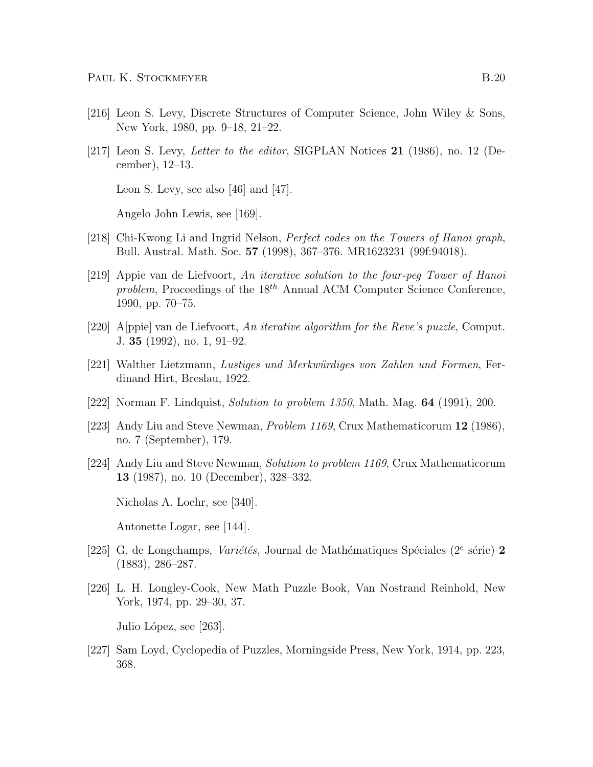- [216] Leon S. Levy, Discrete Structures of Computer Science, John Wiley & Sons, New York, 1980, pp. 9–18, 21–22.
- [217] Leon S. Levy, Letter to the editor, SIGPLAN Notices 21 (1986), no. 12 (December), 12–13.

Leon S. Levy, see also [46] and [47].

Angelo John Lewis, see [169].

- [218] Chi-Kwong Li and Ingrid Nelson, Perfect codes on the Towers of Hanoi graph, Bull. Austral. Math. Soc. 57 (1998), 367–376. MR1623231 (99f:94018).
- [219] Appie van de Liefvoort, An iterative solution to the four-peg Tower of Hanoi problem, Proceedings of the  $18^{th}$  Annual ACM Computer Science Conference, 1990, pp. 70–75.
- [220] A[ppie] van de Liefvoort, An iterative algorithm for the Reve's puzzle, Comput. J. 35 (1992), no. 1, 91–92.
- [221] Walther Lietzmann, Lustiges und Merkwürdiges von Zahlen und Formen, Ferdinand Hirt, Breslau, 1922.
- [222] Norman F. Lindquist, Solution to problem 1350, Math. Mag. 64 (1991), 200.
- [223] Andy Liu and Steve Newman, *Problem 1169*, Crux Mathematicorum 12 (1986), no. 7 (September), 179.
- [224] Andy Liu and Steve Newman, Solution to problem 1169, Crux Mathematicorum 13 (1987), no. 10 (December), 328–332.

Nicholas A. Loehr, see [340].

Antonette Logar, see [144].

- [225] G. de Longchamps, Variétés, Journal de Mathématiques Spéciales ( $2^e$  série) 2 (1883), 286–287.
- [226] L. H. Longley-Cook, New Math Puzzle Book, Van Nostrand Reinhold, New York, 1974, pp. 29–30, 37.

Julio López, see [263].

[227] Sam Loyd, Cyclopedia of Puzzles, Morningside Press, New York, 1914, pp. 223, 368.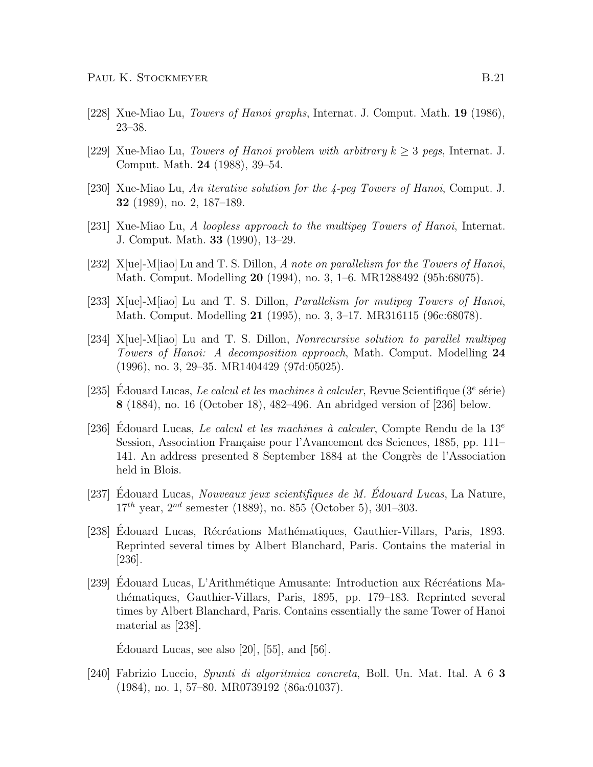- [228] Xue-Miao Lu, Towers of Hanoi graphs, Internat. J. Comput. Math. 19 (1986), 23–38.
- [229] Xue-Miao Lu, *Towers of Hanoi problem with arbitrary k*  $\geq$  3 *pegs*, Internat. J. Comput. Math. 24 (1988), 39–54.
- [230] Xue-Miao Lu, An iterative solution for the 4-peg Towers of Hanoi, Comput. J. 32 (1989), no. 2, 187–189.
- [231] Xue-Miao Lu, A loopless approach to the multipeg Towers of Hanoi, Internat. J. Comput. Math. 33 (1990), 13–29.
- [232] X[ue]-M[iao] Lu and T. S. Dillon, A note on parallelism for the Towers of Hanoi, Math. Comput. Modelling 20 (1994), no. 3, 1–6. MR1288492 (95h:68075).
- [233] X[ue]-M[iao] Lu and T. S. Dillon, *Parallelism for mutipeg Towers of Hanoi*, Math. Comput. Modelling 21 (1995), no. 3, 3–17. MR316115 (96c:68078).
- [234] X[ue]-M[iao] Lu and T. S. Dillon, Nonrecursive solution to parallel multipeg Towers of Hanoi: A decomposition approach, Math. Comput. Modelling 24 (1996), no. 3, 29–35. MR1404429 (97d:05025).
- [235] Édouard Lucas, *Le calcul et les machines à calculer*, Revue Scientifique ( $3^e$  série) 8 (1884), no. 16 (October 18), 482–496. An abridged version of [236] below.
- [236] Edouard Lucas, Le calcul et les machines à calculer, Compte Rendu de la  $13^e$ Session, Association Française pour l'Avancement des Sciences, 1885, pp. 111– 141. An address presented 8 September 1884 at the Congrès de l'Association held in Blois.
- [237] Edouard Lucas, Nouveaux jeux scientifiques de M. Édouard Lucas, La Nature,  $17^{th}$  year,  $2^{nd}$  semester (1889), no. 855 (October 5), 301–303.
- [238] Edouard Lucas, Récréations Mathématiques, Gauthier-Villars, Paris, 1893. Reprinted several times by Albert Blanchard, Paris. Contains the material in [236].
- [239] Edouard Lucas, L'Arithmétique Amusante: Introduction aux Récréations Mathématiques, Gauthier-Villars, Paris, 1895, pp. 179–183. Reprinted several times by Albert Blanchard, Paris. Contains essentially the same Tower of Hanoi material as [238].

Edouard Lucas, see also  $[20]$ ,  $[55]$ , and  $[56]$ .

[240] Fabrizio Luccio, Spunti di algoritmica concreta, Boll. Un. Mat. Ital. A 6 3 (1984), no. 1, 57–80. MR0739192 (86a:01037).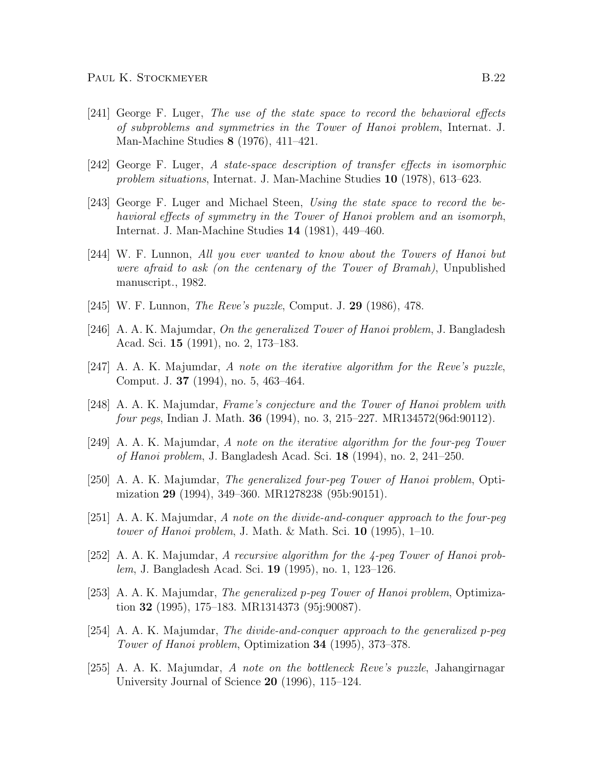- [241] George F. Luger, The use of the state space to record the behavioral effects of subproblems and symmetries in the Tower of Hanoi problem, Internat. J. Man-Machine Studies 8 (1976), 411–421.
- [242] George F. Luger, A state-space description of transfer effects in isomorphic problem situations, Internat. J. Man-Machine Studies 10 (1978), 613–623.
- [243] George F. Luger and Michael Steen, Using the state space to record the behavioral effects of symmetry in the Tower of Hanoi problem and an isomorph, Internat. J. Man-Machine Studies 14 (1981), 449–460.
- [244] W. F. Lunnon, All you ever wanted to know about the Towers of Hanoi but were afraid to ask (on the centenary of the Tower of Bramah), Unpublished manuscript., 1982.
- [245] W. F. Lunnon, *The Reve's puzzle*, Comput. J. **29** (1986), 478.
- [246] A. A. K. Majumdar, On the generalized Tower of Hanoi problem, J. Bangladesh Acad. Sci. 15 (1991), no. 2, 173–183.
- [247] A. A. K. Majumdar, A note on the iterative algorithm for the Reve's puzzle, Comput. J. 37 (1994), no. 5, 463–464.
- [248] A. A. K. Majumdar, Frame's conjecture and the Tower of Hanoi problem with four pegs, Indian J. Math. 36 (1994), no. 3, 215–227. MR134572(96d:90112).
- [249] A. A. K. Majumdar, A note on the iterative algorithm for the four-peg Tower of Hanoi problem, J. Bangladesh Acad. Sci. 18 (1994), no. 2, 241–250.
- [250] A. A. K. Majumdar, The generalized four-peg Tower of Hanoi problem, Optimization 29 (1994), 349–360. MR1278238 (95b:90151).
- [251] A. A. K. Majumdar, A note on the divide-and-conquer approach to the four-peg tower of Hanoi problem, J. Math. & Math. Sci.  $10$  (1995), 1–10.
- [252] A. A. K. Majumdar, A recursive algorithm for the 4-peg Tower of Hanoi problem, J. Bangladesh Acad. Sci. 19 (1995), no. 1, 123–126.
- [253] A. A. K. Majumdar, The generalized p-peg Tower of Hanoi problem, Optimization 32 (1995), 175–183. MR1314373 (95j:90087).
- [254] A. A. K. Majumdar, The divide-and-conquer approach to the generalized p-peg Tower of Hanoi problem, Optimization 34 (1995), 373–378.
- [255] A. A. K. Majumdar, A note on the bottleneck Reve's puzzle, Jahangirnagar University Journal of Science 20 (1996), 115–124.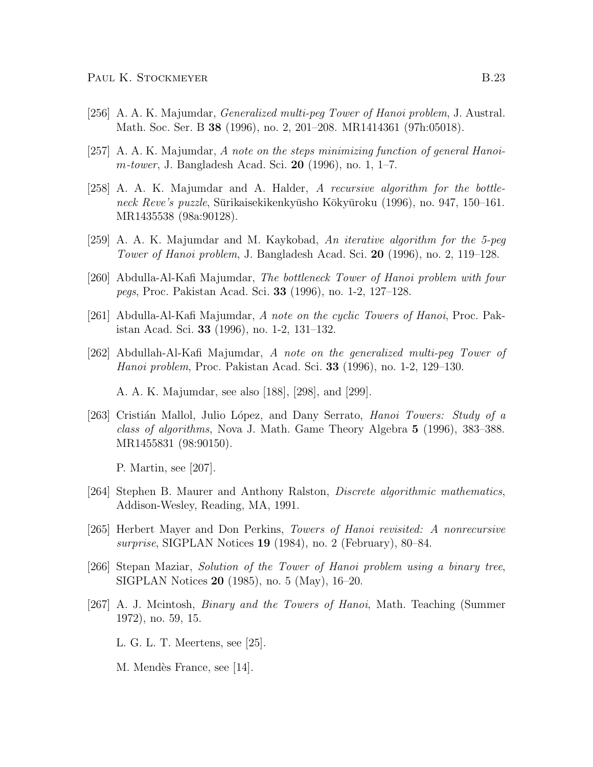- [256] A. A. K. Majumdar, Generalized multi-peg Tower of Hanoi problem, J. Austral. Math. Soc. Ser. B 38 (1996), no. 2, 201–208. MR1414361 (97h:05018).
- [257] A. A. K. Majumdar, A note on the steps minimizing function of general Hanoi*m-tower*, J. Bangladesh Acad. Sci. 20 (1996), no. 1, 1–7.
- [258] A. A. K. Majumdar and A. Halder, A recursive algorithm for the bottleneck Reve's puzzle, Sūrikaisekikenkyūsho Kōkyūroku (1996), no. 947, 150–161. MR1435538 (98a:90128).
- [259] A. A. K. Majumdar and M. Kaykobad, An iterative algorithm for the 5-peg Tower of Hanoi problem, J. Bangladesh Acad. Sci. 20 (1996), no. 2, 119–128.
- [260] Abdulla-Al-Kafi Majumdar, The bottleneck Tower of Hanoi problem with four pegs, Proc. Pakistan Acad. Sci. 33 (1996), no. 1-2, 127–128.
- [261] Abdulla-Al-Kafi Majumdar, A note on the cyclic Towers of Hanoi, Proc. Pakistan Acad. Sci. 33 (1996), no. 1-2, 131–132.
- [262] Abdullah-Al-Kafi Majumdar, A note on the generalized multi-peg Tower of Hanoi problem, Proc. Pakistan Acad. Sci. 33 (1996), no. 1-2, 129–130.

A. A. K. Majumdar, see also [188], [298], and [299].

[263] Cristián Mallol, Julio López, and Dany Serrato, *Hanoi Towers: Study of a* class of algorithms, Nova J. Math. Game Theory Algebra 5 (1996), 383–388. MR1455831 (98:90150).

P. Martin, see [207].

- [264] Stephen B. Maurer and Anthony Ralston, Discrete algorithmic mathematics, Addison-Wesley, Reading, MA, 1991.
- [265] Herbert Mayer and Don Perkins, Towers of Hanoi revisited: A nonrecursive surprise, SIGPLAN Notices 19 (1984), no. 2 (February), 80–84.
- [266] Stepan Maziar, Solution of the Tower of Hanoi problem using a binary tree, SIGPLAN Notices 20 (1985), no. 5 (May), 16–20.
- [267] A. J. Mcintosh, Binary and the Towers of Hanoi, Math. Teaching (Summer 1972), no. 59, 15.

L. G. L. T. Meertens, see [25].

M. Mendès France, see [14].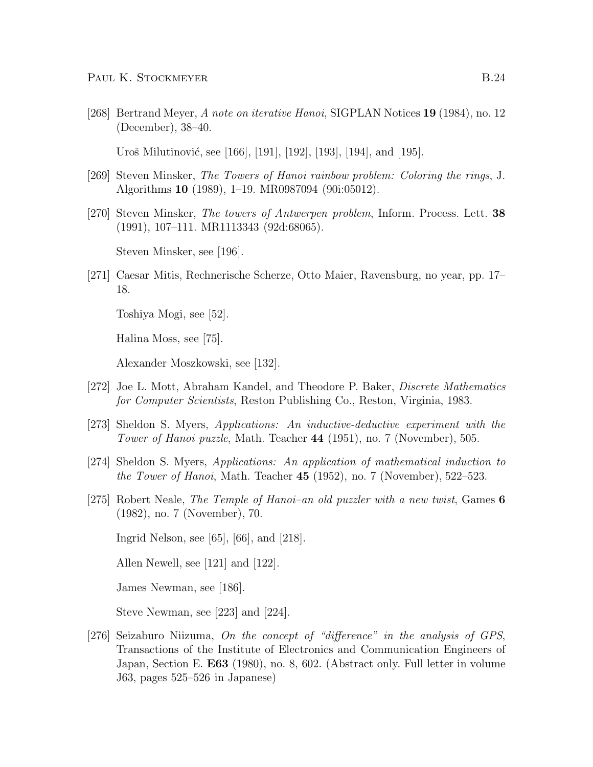[268] Bertrand Meyer, A note on iterative Hanoi, SIGPLAN Notices 19 (1984), no. 12 (December), 38–40.

Uroš Milutinović, see [166], [191], [192], [193], [194], and [195].

- [269] Steven Minsker, The Towers of Hanoi rainbow problem: Coloring the rings, J. Algorithms 10 (1989), 1–19. MR0987094 (90i:05012).
- [270] Steven Minsker, The towers of Antwerpen problem, Inform. Process. Lett. 38 (1991), 107–111. MR1113343 (92d:68065).

Steven Minsker, see [196].

[271] Caesar Mitis, Rechnerische Scherze, Otto Maier, Ravensburg, no year, pp. 17– 18.

Toshiya Mogi, see [52].

Halina Moss, see [75].

Alexander Moszkowski, see [132].

- [272] Joe L. Mott, Abraham Kandel, and Theodore P. Baker, Discrete Mathematics for Computer Scientists, Reston Publishing Co., Reston, Virginia, 1983.
- [273] Sheldon S. Myers, Applications: An inductive-deductive experiment with the Tower of Hanoi puzzle, Math. Teacher 44 (1951), no. 7 (November), 505.
- [274] Sheldon S. Myers, Applications: An application of mathematical induction to the Tower of Hanoi, Math. Teacher  $45$  (1952), no. 7 (November), 522–523.
- [275] Robert Neale, The Temple of Hanoi–an old puzzler with a new twist, Games 6 (1982), no. 7 (November), 70.

Ingrid Nelson, see [65], [66], and [218].

Allen Newell, see [121] and [122].

James Newman, see [186].

Steve Newman, see [223] and [224].

[276] Seizaburo Niizuma, On the concept of "difference" in the analysis of GPS, Transactions of the Institute of Electronics and Communication Engineers of Japan, Section E. E63 (1980), no. 8, 602. (Abstract only. Full letter in volume J63, pages 525–526 in Japanese)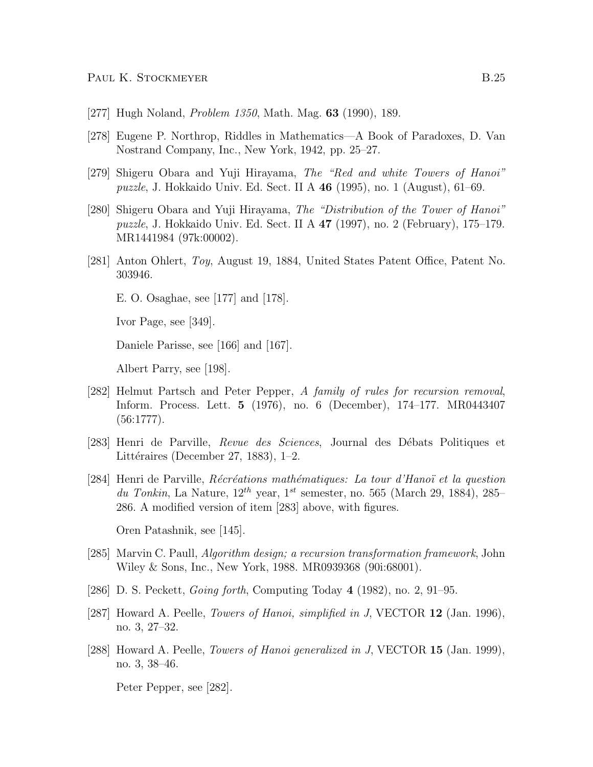- [277] Hugh Noland, *Problem 1350*, Math. Mag. **63** (1990), 189.
- [278] Eugene P. Northrop, Riddles in Mathematics—A Book of Paradoxes, D. Van Nostrand Company, Inc., New York, 1942, pp. 25–27.
- [279] Shigeru Obara and Yuji Hirayama, The "Red and white Towers of Hanoi" puzzle, J. Hokkaido Univ. Ed. Sect. II A 46 (1995), no. 1 (August), 61–69.
- [280] Shigeru Obara and Yuji Hirayama, The "Distribution of the Tower of Hanoi" puzzle, J. Hokkaido Univ. Ed. Sect. II A 47 (1997), no. 2 (February), 175–179. MR1441984 (97k:00002).
- [281] Anton Ohlert, Toy, August 19, 1884, United States Patent Office, Patent No. 303946.
	- E. O. Osaghae, see [177] and [178].

Ivor Page, see [349].

Daniele Parisse, see [166] and [167].

Albert Parry, see [198].

- [282] Helmut Partsch and Peter Pepper, A family of rules for recursion removal, Inform. Process. Lett. 5 (1976), no. 6 (December), 174–177. MR0443407 (56:1777).
- [283] Henri de Parville, Revue des Sciences, Journal des Débats Politiques et Littéraires (December 27, 1883), 1–2.
- [284] Henri de Parville, Récréations mathématiques: La tour d'Hanoï et la question du Tonkin, La Nature,  $12^{th}$  year,  $1^{st}$  semester, no. 565 (March 29, 1884), 285– 286. A modified version of item [283] above, with figures.

Oren Patashnik, see [145].

- [285] Marvin C. Paull, Algorithm design; a recursion transformation framework, John Wiley & Sons, Inc., New York, 1988. MR0939368 (90i:68001).
- [286] D. S. Peckett, Going forth, Computing Today 4 (1982), no. 2, 91–95.
- [287] Howard A. Peelle, *Towers of Hanoi*, *simplified in J*, VECTOR 12 (Jan. 1996), no. 3, 27–32.
- [288] Howard A. Peelle, *Towers of Hanoi generalized in J*, VECTOR **15** (Jan. 1999), no. 3, 38–46.

Peter Pepper, see [282].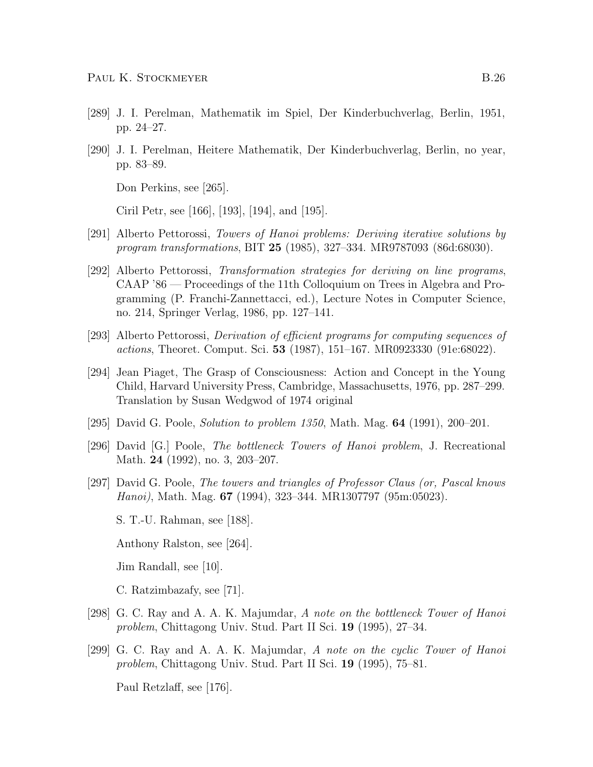- [289] J. I. Perelman, Mathematik im Spiel, Der Kinderbuchverlag, Berlin, 1951, pp. 24–27.
- [290] J. I. Perelman, Heitere Mathematik, Der Kinderbuchverlag, Berlin, no year, pp. 83–89.

Don Perkins, see [265].

Ciril Petr, see [166], [193], [194], and [195].

- [291] Alberto Pettorossi, Towers of Hanoi problems: Deriving iterative solutions by program transformations, BIT 25 (1985), 327–334. MR9787093 (86d:68030).
- [292] Alberto Pettorossi, Transformation strategies for deriving on line programs, CAAP '86 — Proceedings of the 11th Colloquium on Trees in Algebra and Programming (P. Franchi-Zannettacci, ed.), Lecture Notes in Computer Science, no. 214, Springer Verlag, 1986, pp. 127–141.
- [293] Alberto Pettorossi, Derivation of efficient programs for computing sequences of actions, Theoret. Comput. Sci. 53 (1987), 151–167. MR0923330 (91e:68022).
- [294] Jean Piaget, The Grasp of Consciousness: Action and Concept in the Young Child, Harvard University Press, Cambridge, Massachusetts, 1976, pp. 287–299. Translation by Susan Wedgwod of 1974 original
- [295] David G. Poole, *Solution to problem 1350*, Math. Mag.  $64$  (1991), 200–201.
- [296] David [G.] Poole, The bottleneck Towers of Hanoi problem, J. Recreational Math. 24 (1992), no. 3, 203–207.
- [297] David G. Poole, The towers and triangles of Professor Claus (or, Pascal knows Hanoi), Math. Mag. 67 (1994), 323–344. MR1307797 (95m:05023).

S. T.-U. Rahman, see [188].

Anthony Ralston, see [264].

Jim Randall, see [10].

C. Ratzimbazafy, see [71].

- [298] G. C. Ray and A. A. K. Majumdar, A note on the bottleneck Tower of Hanoi problem, Chittagong Univ. Stud. Part II Sci. 19 (1995), 27–34.
- [299] G. C. Ray and A. A. K. Majumdar, A note on the cyclic Tower of Hanoi problem, Chittagong Univ. Stud. Part II Sci. 19 (1995), 75–81.

Paul Retzlaff, see [176].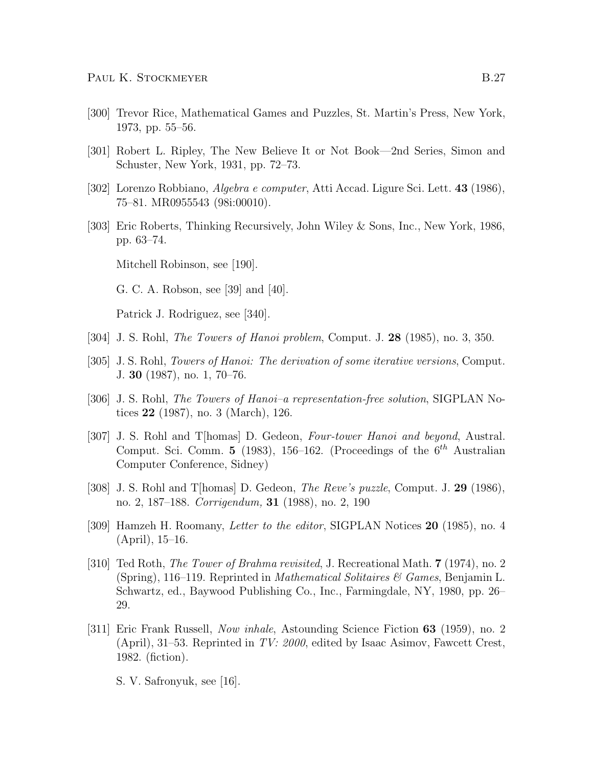- [300] Trevor Rice, Mathematical Games and Puzzles, St. Martin's Press, New York, 1973, pp. 55–56.
- [301] Robert L. Ripley, The New Believe It or Not Book—2nd Series, Simon and Schuster, New York, 1931, pp. 72–73.
- [302] Lorenzo Robbiano, Algebra e computer, Atti Accad. Ligure Sci. Lett. 43 (1986), 75–81. MR0955543 (98i:00010).
- [303] Eric Roberts, Thinking Recursively, John Wiley & Sons, Inc., New York, 1986, pp. 63–74.

Mitchell Robinson, see [190].

G. C. A. Robson, see [39] and [40].

Patrick J. Rodriguez, see [340].

- [304] J. S. Rohl, The Towers of Hanoi problem, Comput. J. 28 (1985), no. 3, 350.
- [305] J. S. Rohl, *Towers of Hanoi: The derivation of some iterative versions*, Comput. J. 30 (1987), no. 1, 70–76.
- [306] J. S. Rohl, The Towers of Hanoi–a representation-free solution, SIGPLAN Notices 22 (1987), no. 3 (March), 126.
- [307] J. S. Rohl and T[homas] D. Gedeon, Four-tower Hanoi and beyond, Austral. Comput. Sci. Comm. 5 (1983), 156-162. (Proceedings of the  $6<sup>th</sup>$  Australian Computer Conference, Sidney)
- [308] J. S. Rohl and T|homas| D. Gedeon, *The Reve's puzzle*, Comput. J. 29 (1986), no. 2, 187–188. Corrigendum, 31 (1988), no. 2, 190
- [309] Hamzeh H. Roomany, Letter to the editor, SIGPLAN Notices 20 (1985), no. 4 (April), 15–16.
- [310] Ted Roth, The Tower of Brahma revisited, J. Recreational Math. 7 (1974), no. 2 (Spring), 116–119. Reprinted in *Mathematical Solitaires*  $\mathcal{C}$  *Games*, Benjamin L. Schwartz, ed., Baywood Publishing Co., Inc., Farmingdale, NY, 1980, pp. 26– 29.
- [311] Eric Frank Russell, Now inhale, Astounding Science Fiction 63 (1959), no. 2 (April), 31–53. Reprinted in TV: 2000, edited by Isaac Asimov, Fawcett Crest, 1982. (fiction).

S. V. Safronyuk, see [16].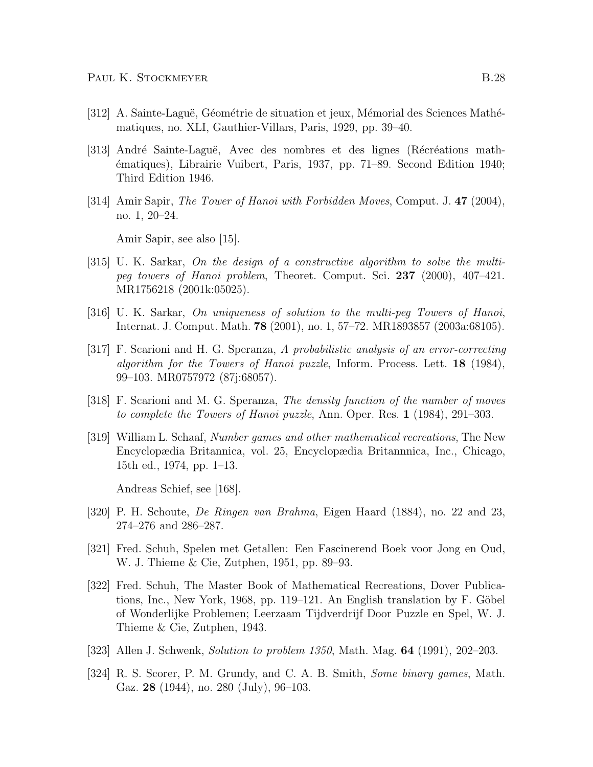- [312] A. Sainte-Laguë, Géométrie de situation et jeux, Mémorial des Sciences Mathématiques, no. XLI, Gauthier-Villars, Paris, 1929, pp. 39–40.
- [313] André Sainte-Laguë, Avec des nombres et des lignes (Récréations math-´ematiques), Librairie Vuibert, Paris, 1937, pp. 71–89. Second Edition 1940; Third Edition 1946.
- [314] Amir Sapir, *The Tower of Hanoi with Forbidden Moves*, Comput. J. 47 (2004), no. 1, 20–24.

Amir Sapir, see also [15].

- [315] U. K. Sarkar, On the design of a constructive algorithm to solve the multipeg towers of Hanoi problem, Theoret. Comput. Sci. 237 (2000), 407–421. MR1756218 (2001k:05025).
- [316] U. K. Sarkar, On uniqueness of solution to the multi-peg Towers of Hanoi, Internat. J. Comput. Math. 78 (2001), no. 1, 57–72. MR1893857 (2003a:68105).
- [317] F. Scarioni and H. G. Speranza, A probabilistic analysis of an error-correcting algorithm for the Towers of Hanoi puzzle, Inform. Process. Lett. 18 (1984), 99–103. MR0757972 (87j:68057).
- [318] F. Scarioni and M. G. Speranza, The density function of the number of moves to complete the Towers of Hanoi puzzle, Ann. Oper. Res. 1 (1984), 291–303.
- [319] William L. Schaaf, Number games and other mathematical recreations, The New Encyclopædia Britannica, vol. 25, Encyclopædia Britannnica, Inc., Chicago, 15th ed., 1974, pp. 1–13.

Andreas Schief, see [168].

- [320] P. H. Schoute, De Ringen van Brahma, Eigen Haard (1884), no. 22 and 23, 274–276 and 286–287.
- [321] Fred. Schuh, Spelen met Getallen: Een Fascinerend Boek voor Jong en Oud, W. J. Thieme & Cie, Zutphen, 1951, pp. 89–93.
- [322] Fred. Schuh, The Master Book of Mathematical Recreations, Dover Publications, Inc., New York, 1968, pp. 119–121. An English translation by  $F$ . Göbel of Wonderlijke Problemen; Leerzaam Tijdverdrijf Door Puzzle en Spel, W. J. Thieme & Cie, Zutphen, 1943.
- [323] Allen J. Schwenk, Solution to problem 1350, Math. Mag. **64** (1991), 202–203.
- [324] R. S. Scorer, P. M. Grundy, and C. A. B. Smith, *Some binary games*, Math. Gaz. 28 (1944), no. 280 (July), 96–103.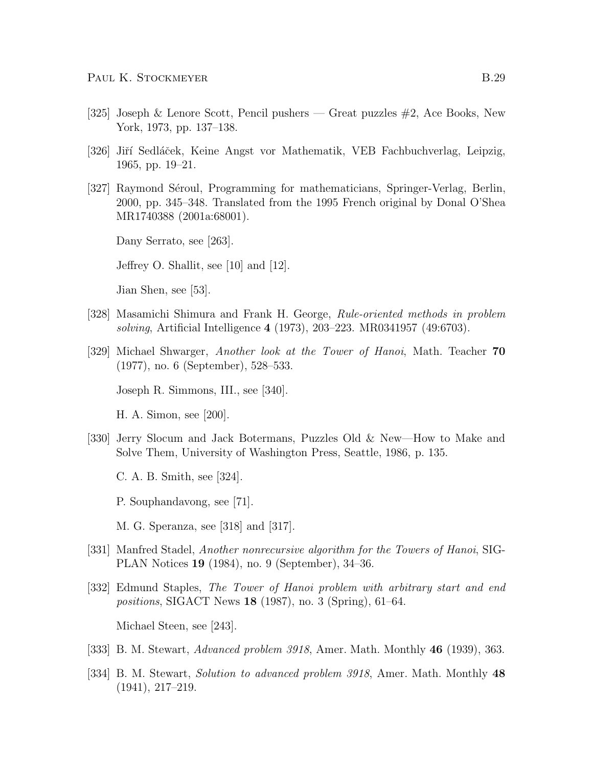- [325] Joseph & Lenore Scott, Pencil pushers Great puzzles #2, Ace Books, New York, 1973, pp. 137–138.
- [326] Jiří Sedláček, Keine Angst vor Mathematik, VEB Fachbuchverlag, Leipzig, 1965, pp. 19–21.
- [327] Raymond Séroul, Programming for mathematicians, Springer-Verlag, Berlin, 2000, pp. 345–348. Translated from the 1995 French original by Donal O'Shea MR1740388 (2001a:68001).

Dany Serrato, see [263].

Jeffrey O. Shallit, see [10] and [12].

Jian Shen, see [53].

- [328] Masamichi Shimura and Frank H. George, Rule-oriented methods in problem solving, Artificial Intelligence 4 (1973), 203–223. MR0341957 (49:6703).
- [329] Michael Shwarger, Another look at the Tower of Hanoi, Math. Teacher 70 (1977), no. 6 (September), 528–533.

Joseph R. Simmons, III., see [340].

H. A. Simon, see [200].

- [330] Jerry Slocum and Jack Botermans, Puzzles Old & New—How to Make and Solve Them, University of Washington Press, Seattle, 1986, p. 135.
	- C. A. B. Smith, see [324].
	- P. Souphandavong, see [71].
	- M. G. Speranza, see [318] and [317].
- [331] Manfred Stadel, Another nonrecursive algorithm for the Towers of Hanoi, SIG-PLAN Notices 19 (1984), no. 9 (September), 34–36.
- [332] Edmund Staples, The Tower of Hanoi problem with arbitrary start and end positions, SIGACT News 18 (1987), no. 3 (Spring), 61–64.

Michael Steen, see [243].

- [333] B. M. Stewart, *Advanced problem 3918*, Amer. Math. Monthly **46** (1939), 363.
- [334] B. M. Stewart, Solution to advanced problem 3918, Amer. Math. Monthly 48 (1941), 217–219.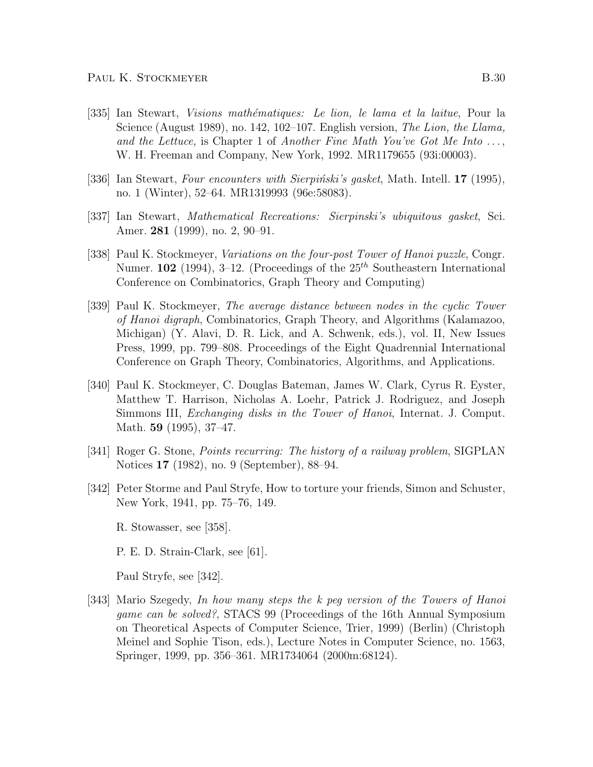- [335] Ian Stewart, Visions math´ematiques: Le lion, le lama et la laitue, Pour la Science (August 1989), no. 142, 102-107. English version, The Lion, the Llama, and the Lettuce, is Chapter 1 of Another Fine Math You've Got Me Into  $\dots$ , W. H. Freeman and Company, New York, 1992. MR1179655 (93i:00003).
- [336] Ian Stewart, Four encounters with Sierpinski's gasket, Math. Intell.  $17$  (1995), no. 1 (Winter), 52–64. MR1319993 (96e:58083).
- [337] Ian Stewart, Mathematical Recreations: Sierpinski's ubiquitous gasket, Sci. Amer. 281 (1999), no. 2, 90–91.
- [338] Paul K. Stockmeyer, Variations on the four-post Tower of Hanoi puzzle, Congr. Numer. 102 (1994), 3-12. (Proceedings of the  $25<sup>th</sup>$  Southeastern International Conference on Combinatorics, Graph Theory and Computing)
- [339] Paul K. Stockmeyer, The average distance between nodes in the cyclic Tower of Hanoi digraph, Combinatorics, Graph Theory, and Algorithms (Kalamazoo, Michigan) (Y. Alavi, D. R. Lick, and A. Schwenk, eds.), vol. II, New Issues Press, 1999, pp. 799–808. Proceedings of the Eight Quadrennial International Conference on Graph Theory, Combinatorics, Algorithms, and Applications.
- [340] Paul K. Stockmeyer, C. Douglas Bateman, James W. Clark, Cyrus R. Eyster, Matthew T. Harrison, Nicholas A. Loehr, Patrick J. Rodriguez, and Joseph Simmons III, *Exchanging disks in the Tower of Hanoi*, Internat. J. Comput. Math. 59 (1995), 37–47.
- [341] Roger G. Stone, Points recurring: The history of a railway problem, SIGPLAN Notices 17 (1982), no. 9 (September), 88–94.
- [342] Peter Storme and Paul Stryfe, How to torture your friends, Simon and Schuster, New York, 1941, pp. 75–76, 149.
	- R. Stowasser, see [358].
	- P. E. D. Strain-Clark, see [61].

Paul Stryfe, see [342].

[343] Mario Szegedy, In how many steps the k peg version of the Towers of Hanoi game can be solved?, STACS 99 (Proceedings of the 16th Annual Symposium on Theoretical Aspects of Computer Science, Trier, 1999) (Berlin) (Christoph Meinel and Sophie Tison, eds.), Lecture Notes in Computer Science, no. 1563, Springer, 1999, pp. 356–361. MR1734064 (2000m:68124).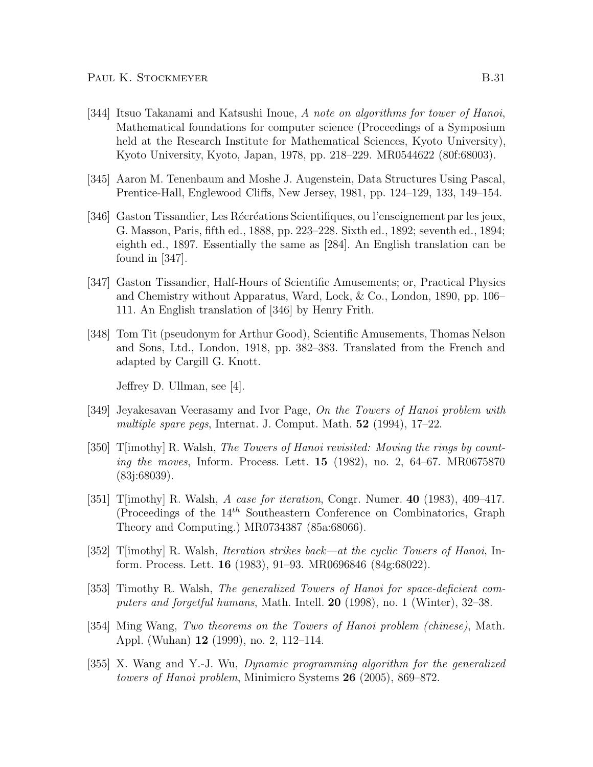- [344] Itsuo Takanami and Katsushi Inoue, A note on algorithms for tower of Hanoi, Mathematical foundations for computer science (Proceedings of a Symposium held at the Research Institute for Mathematical Sciences, Kyoto University), Kyoto University, Kyoto, Japan, 1978, pp. 218–229. MR0544622 (80f:68003).
- [345] Aaron M. Tenenbaum and Moshe J. Augenstein, Data Structures Using Pascal, Prentice-Hall, Englewood Cliffs, New Jersey, 1981, pp. 124–129, 133, 149–154.
- [346] Gaston Tissandier, Les Récréations Scientifiques, ou l'enseignement par les jeux, G. Masson, Paris, fifth ed., 1888, pp. 223–228. Sixth ed., 1892; seventh ed., 1894; eighth ed., 1897. Essentially the same as [284]. An English translation can be found in  $|347|$ .
- [347] Gaston Tissandier, Half-Hours of Scientific Amusements; or, Practical Physics and Chemistry without Apparatus, Ward, Lock, & Co., London, 1890, pp. 106– 111. An English translation of [346] by Henry Frith.
- [348] Tom Tit (pseudonym for Arthur Good), Scientific Amusements, Thomas Nelson and Sons, Ltd., London, 1918, pp. 382–383. Translated from the French and adapted by Cargill G. Knott.

Jeffrey D. Ullman, see [4].

- [349] Jeyakesavan Veerasamy and Ivor Page, On the Towers of Hanoi problem with multiple spare pegs, Internat. J. Comput. Math.  $52$  (1994), 17–22.
- [350] T[imothy] R. Walsh, The Towers of Hanoi revisited: Moving the rings by counting the moves, Inform. Process. Lett. 15 (1982), no. 2, 64–67. MR0675870 (83j:68039).
- [351] T[imothy] R. Walsh, A case for iteration, Congr. Numer.  $40$  (1983), 409–417. (Proceedings of the  $14<sup>th</sup>$  Southeastern Conference on Combinatorics, Graph Theory and Computing.) MR0734387 (85a:68066).
- [352] T[imothy] R. Walsh, Iteration strikes back—at the cyclic Towers of Hanoi, Inform. Process. Lett. 16 (1983), 91–93. MR0696846 (84g:68022).
- [353] Timothy R. Walsh, The generalized Towers of Hanoi for space-deficient computers and forgetful humans, Math. Intell. 20 (1998), no. 1 (Winter), 32–38.
- [354] Ming Wang, Two theorems on the Towers of Hanoi problem (chinese), Math. Appl. (Wuhan) 12 (1999), no. 2, 112–114.
- [355] X. Wang and Y.-J. Wu, Dynamic programming algorithm for the generalized towers of Hanoi problem, Minimicro Systems 26 (2005), 869–872.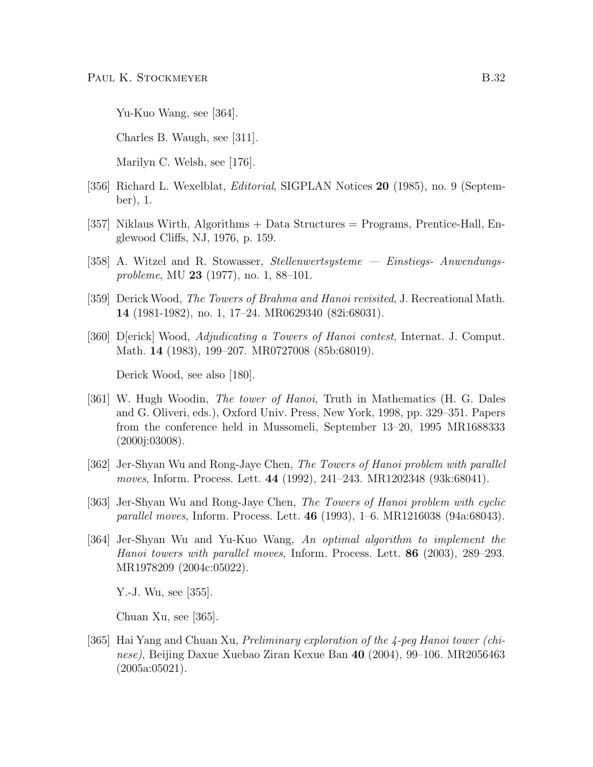Yu-Kuo Wang, see [364].

Charles B. Waugh, see [311].

Marilyn C. Welsh, see [176].

- [356] Richard L. Wexelblat, Editorial, SIGPLAN Notices 20 (1985), no. 9 (September), 1.
- [357] Niklaus Wirth, Algorithms + Data Structures = Programs, Prentice-Hall, Englewood Cliffs, NJ, 1976, p. 159.
- [358] A. Witzel and R. Stowasser, Stellenwertsysteme Einstiegs- Anwendungsprobleme, MU 23 (1977), no. 1, 88–101.
- [359] Derick Wood, The Towers of Brahma and Hanoi revisited, J. Recreational Math. 14 (1981-1982), no. 1, 17–24. MR0629340 (82i:68031).
- [360] D[erick] Wood, Adjudicating a Towers of Hanoi contest, Internat. J. Comput. Math. 14 (1983), 199–207. MR0727008 (85b:68019).

Derick Wood, see also [180].

- [361] W. Hugh Woodin, *The tower of Hanoi*, Truth in Mathematics (H. G. Dales and G. Oliveri, eds.), Oxford Univ. Press, New York, 1998, pp. 329–351. Papers from the conference held in Mussomeli, September 13–20, 1995 MR1688333 (2000j:03008).
- [362] Jer-Shyan Wu and Rong-Jaye Chen, The Towers of Hanoi problem with parallel moves, Inform. Process. Lett. 44 (1992), 241–243. MR1202348 (93k:68041).
- [363] Jer-Shyan Wu and Rong-Jaye Chen, The Towers of Hanoi problem with cyclic parallel moves, Inform. Process. Lett. 46 (1993), 1–6. MR1216038 (94a:68043).
- [364] Jer-Shyan Wu and Yu-Kuo Wang, An optimal algorithm to implement the Hanoi towers with parallel moves, Inform. Process. Lett. 86 (2003), 289–293. MR1978209 (2004c:05022).

Y.-J. Wu, see [355].

Chuan Xu, see [365].

[365] Hai Yang and Chuan Xu, Preliminary exploration of the 4-peg Hanoi tower (chinese), Beijing Daxue Xuebao Ziran Kexue Ban 40 (2004), 99–106. MR2056463 (2005a:05021).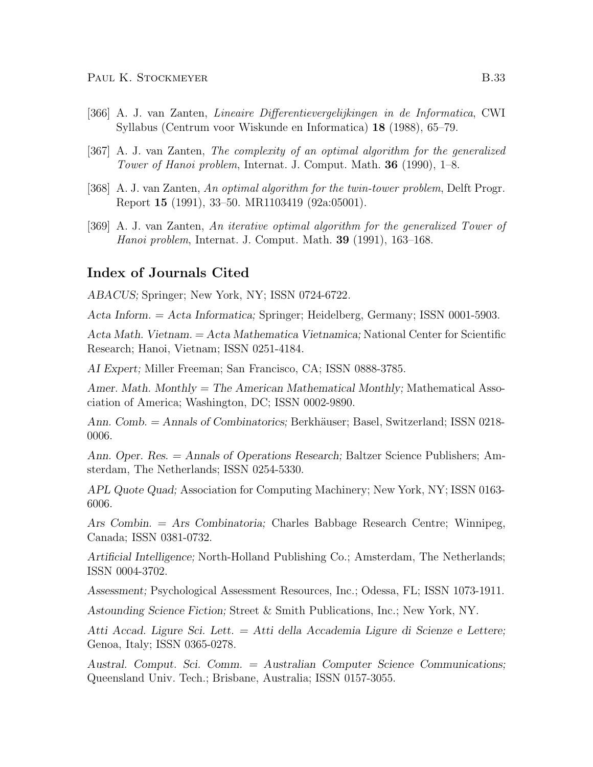- [366] A. J. van Zanten, Lineaire Differentievergelijkingen in de Informatica, CWI Syllabus (Centrum voor Wiskunde en Informatica) 18 (1988), 65–79.
- [367] A. J. van Zanten, The complexity of an optimal algorithm for the generalized Tower of Hanoi problem, Internat. J. Comput. Math. 36 (1990), 1–8.
- [368] A. J. van Zanten, An optimal algorithm for the twin-tower problem, Delft Progr. Report 15 (1991), 33–50. MR1103419 (92a:05001).
- [369] A. J. van Zanten, An iterative optimal algorithm for the generalized Tower of Hanoi problem, Internat. J. Comput. Math. 39 (1991), 163–168.

## Index of Journals Cited

ABACUS; Springer; New York, NY; ISSN 0724-6722.

Acta Inform. = Acta Informatica; Springer; Heidelberg, Germany; ISSN 0001-5903.

Acta Math. Vietnam. = Acta Mathematica Vietnamica; National Center for Scientific Research; Hanoi, Vietnam; ISSN 0251-4184.

AI Expert; Miller Freeman; San Francisco, CA; ISSN 0888-3785.

Amer. Math. Monthly = The American Mathematical Monthly; Mathematical Association of America; Washington, DC; ISSN 0002-9890.

Ann. Comb. = Annals of Combinatorics; Berkhäuser; Basel, Switzerland; ISSN 0218-0006.

Ann. Oper. Res. = Annals of Operations Research; Baltzer Science Publishers; Amsterdam, The Netherlands; ISSN 0254-5330.

APL Quote Quad; Association for Computing Machinery; New York, NY; ISSN 0163- 6006.

Ars Combin. = Ars Combinatoria; Charles Babbage Research Centre; Winnipeg, Canada; ISSN 0381-0732.

Artificial Intelligence; North-Holland Publishing Co.; Amsterdam, The Netherlands; ISSN 0004-3702.

Assessment; Psychological Assessment Resources, Inc.; Odessa, FL; ISSN 1073-1911.

Astounding Science Fiction; Street & Smith Publications, Inc.; New York, NY.

Atti Accad. Ligure Sci. Lett. = Atti della Accademia Ligure di Scienze e Lettere; Genoa, Italy; ISSN 0365-0278.

Austral. Comput. Sci. Comm. = Australian Computer Science Communications; Queensland Univ. Tech.; Brisbane, Australia; ISSN 0157-3055.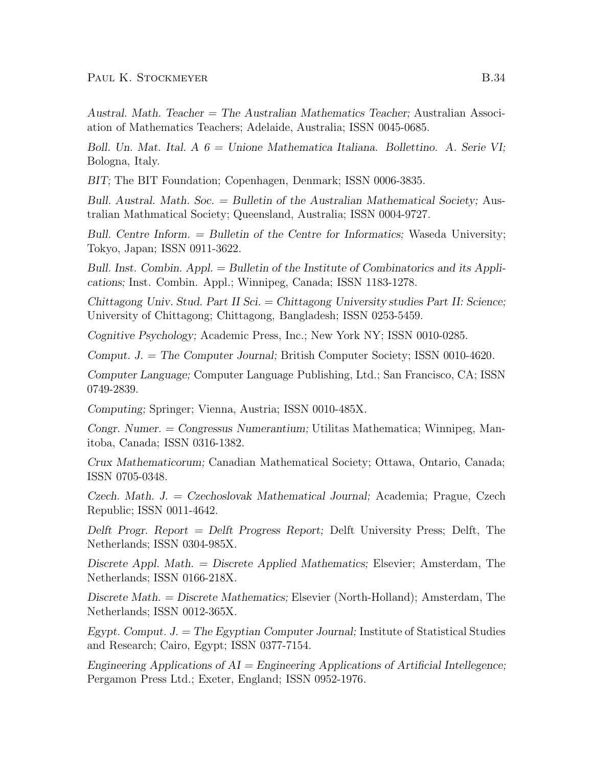Austral. Math. Teacher = The Australian Mathematics Teacher; Australian Association of Mathematics Teachers; Adelaide, Australia; ISSN 0045-0685.

Boll. Un. Mat. Ital. A  $6 =$  Unione Mathematica Italiana. Bollettino. A. Serie VI; Bologna, Italy.

BIT; The BIT Foundation; Copenhagen, Denmark; ISSN 0006-3835.

Bull. Austral. Math. Soc. = Bulletin of the Australian Mathematical Society; Australian Mathmatical Society; Queensland, Australia; ISSN 0004-9727.

Bull. Centre Inform. = Bulletin of the Centre for Informatics; Waseda University; Tokyo, Japan; ISSN 0911-3622.

Bull. Inst. Combin. Appl. = Bulletin of the Institute of Combinatorics and its Applications; Inst. Combin. Appl.; Winnipeg, Canada; ISSN 1183-1278.

Chittagong Univ. Stud. Part II Sci. = Chittagong University studies Part II: Science; University of Chittagong; Chittagong, Bangladesh; ISSN 0253-5459.

Cognitive Psychology; Academic Press, Inc.; New York NY; ISSN 0010-0285.

Comput. J. = The Computer Journal; British Computer Society; ISSN 0010-4620.

Computer Language; Computer Language Publishing, Ltd.; San Francisco, CA; ISSN 0749-2839.

Computing; Springer; Vienna, Austria; ISSN 0010-485X.

Congr. Numer. = Congressus Numerantium; Utilitas Mathematica; Winnipeg, Manitoba, Canada; ISSN 0316-1382.

Crux Mathematicorum; Canadian Mathematical Society; Ottawa, Ontario, Canada; ISSN 0705-0348.

Czech. Math. J. = Czechoslovak Mathematical Journal; Academia; Prague, Czech Republic; ISSN 0011-4642.

Delft Progr. Report = Delft Progress Report; Delft University Press; Delft, The Netherlands; ISSN 0304-985X.

Discrete Appl. Math. = Discrete Applied Mathematics; Elsevier; Amsterdam, The Netherlands; ISSN 0166-218X.

Discrete Math. = Discrete Mathematics; Elsevier (North-Holland); Amsterdam, The Netherlands; ISSN 0012-365X.

Egypt. Comput.  $J = The$  Egyptian Computer Journal; Institute of Statistical Studies and Research; Cairo, Egypt; ISSN 0377-7154.

Engineering Applications of  $AI =$  Engineering Applications of Artificial Intellegence; Pergamon Press Ltd.; Exeter, England; ISSN 0952-1976.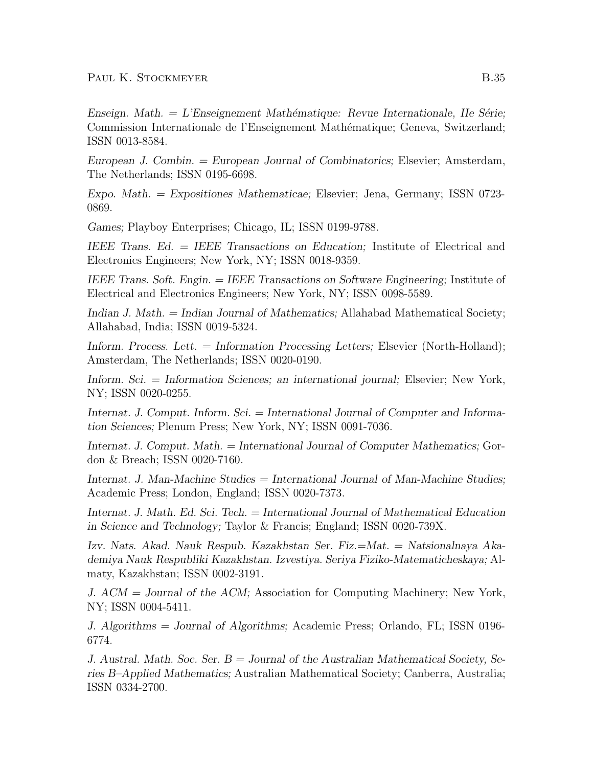Enseign. Math.  $= L$ 'Enseignement Mathématique: Revue Internationale, IIe Série; Commission Internationale de l'Enseignement Mathématique; Geneva, Switzerland; ISSN 0013-8584.

European J. Combin. = European Journal of Combinatorics; Elsevier; Amsterdam, The Netherlands; ISSN 0195-6698.

Expo. Math. = Expositiones Mathematicae; Elsevier; Jena, Germany; ISSN 0723- 0869.

Games; Playboy Enterprises; Chicago, IL; ISSN 0199-9788.

IEEE Trans. Ed. = IEEE Transactions on Education; Institute of Electrical and Electronics Engineers; New York, NY; ISSN 0018-9359.

IEEE Trans. Soft. Engin. = IEEE Transactions on Software Engineering; Institute of Electrical and Electronics Engineers; New York, NY; ISSN 0098-5589.

Indian J. Math. = Indian Journal of Mathematics; Allahabad Mathematical Society; Allahabad, India; ISSN 0019-5324.

Inform. Process. Lett. = Information Processing Letters; Elsevier (North-Holland); Amsterdam, The Netherlands; ISSN 0020-0190.

Inform. Sci. = Information Sciences; an international journal; Elsevier; New York, NY; ISSN 0020-0255.

Internat. J. Comput. Inform. Sci. = International Journal of Computer and Information Sciences; Plenum Press; New York, NY; ISSN 0091-7036.

Internat. J. Comput. Math. = International Journal of Computer Mathematics; Gordon & Breach; ISSN 0020-7160.

Internat. J. Man-Machine Studies = International Journal of Man-Machine Studies; Academic Press; London, England; ISSN 0020-7373.

Internat. J. Math. Ed. Sci. Tech. = International Journal of Mathematical Education in Science and Technology; Taylor & Francis; England; ISSN 0020-739X.

Izv. Nats. Akad. Nauk Respub. Kazakhstan Ser. Fiz.=Mat. = Natsionalnaya Akademiya Nauk Respubliki Kazakhstan. Izvestiya. Seriya Fiziko-Matematicheskaya; Almaty, Kazakhstan; ISSN 0002-3191.

J. ACM = Journal of the ACM; Association for Computing Machinery; New York, NY; ISSN 0004-5411.

J. Algorithms = Journal of Algorithms; Academic Press; Orlando, FL; ISSN 0196- 6774.

J. Austral. Math. Soc. Ser.  $B =$  Journal of the Australian Mathematical Society, Series B–Applied Mathematics; Australian Mathematical Society; Canberra, Australia; ISSN 0334-2700.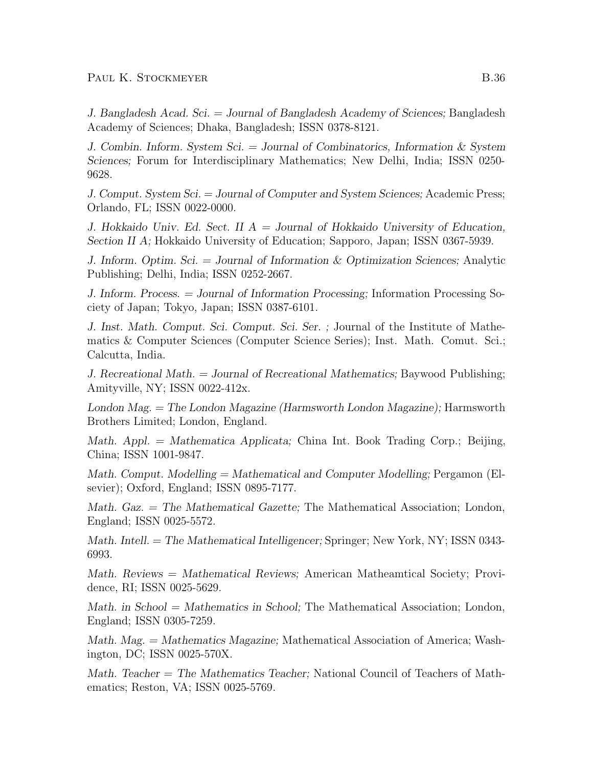J. Bangladesh Acad. Sci. = Journal of Bangladesh Academy of Sciences; Bangladesh Academy of Sciences; Dhaka, Bangladesh; ISSN 0378-8121.

J. Combin. Inform. System Sci. = Journal of Combinatorics, Information  $&$  System Sciences; Forum for Interdisciplinary Mathematics; New Delhi, India; ISSN 0250- 9628.

J. Comput. System Sci. = Journal of Computer and System Sciences; Academic Press; Orlando, FL; ISSN 0022-0000.

J. Hokkaido Univ. Ed. Sect. II  $A =$  Journal of Hokkaido University of Education, Section II A; Hokkaido University of Education; Sapporo, Japan; ISSN 0367-5939.

J. Inform. Optim. Sci. = Journal of Information & Optimization Sciences; Analytic Publishing; Delhi, India; ISSN 0252-2667.

J. Inform. Process. = Journal of Information Processing; Information Processing Society of Japan; Tokyo, Japan; ISSN 0387-6101.

J. Inst. Math. Comput. Sci. Comput. Sci. Ser. ; Journal of the Institute of Mathematics & Computer Sciences (Computer Science Series); Inst. Math. Comut. Sci.; Calcutta, India.

J. Recreational Math. = Journal of Recreational Mathematics; Baywood Publishing; Amityville, NY; ISSN 0022-412x.

London Mag. = The London Magazine (Harmsworth London Magazine); Harmsworth Brothers Limited; London, England.

Math. Appl.  $=$  Mathematica Applicata; China Int. Book Trading Corp.; Beijing, China; ISSN 1001-9847.

Math. Comput. Modelling  $=$  Mathematical and Computer Modelling; Pergamon (Elsevier); Oxford, England; ISSN 0895-7177.

Math. Gaz. = The Mathematical Gazette; The Mathematical Association; London, England; ISSN 0025-5572.

Math. Intell. = The Mathematical Intelligencer; Springer; New York, NY; ISSN 0343- 6993.

Math. Reviews = Mathematical Reviews; American Matheamtical Society; Providence, RI; ISSN 0025-5629.

Math. in School = Mathematics in School; The Mathematical Association; London, England; ISSN 0305-7259.

Math. Mag. = Mathematics Magazine; Mathematical Association of America; Washington, DC; ISSN 0025-570X.

Math. Teacher = The Mathematics Teacher; National Council of Teachers of Mathematics; Reston, VA; ISSN 0025-5769.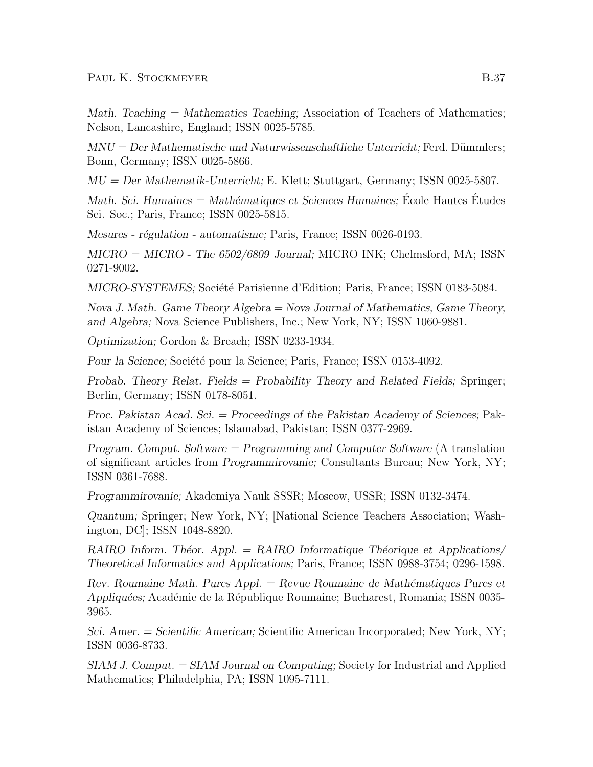Math. Teaching  $=$  Mathematics Teaching; Association of Teachers of Mathematics; Nelson, Lancashire, England; ISSN 0025-5785.

 $MNU = Der Mathematische und Naturwissenschaftliche Unterricht; Ferd. Dümmlers;$ Bonn, Germany; ISSN 0025-5866.

MU = Der Mathematik-Unterricht; E. Klett; Stuttgart, Germany; ISSN 0025-5807.

Math. Sci. Humaines  $=$  Mathématiques et Sciences Humaines; Ecole Hautes Etudes Sci. Soc.; Paris, France; ISSN 0025-5815.

Mesures - régulation - automatisme; Paris, France; ISSN 0026-0193.

 $MICRO = MICRO$  - The 6502/6809 Journal; MICRO INK; Chelmsford, MA; ISSN 0271-9002.

MICRO-SYSTEMES; Société Parisienne d'Edition; Paris, France; ISSN 0183-5084.

Nova J. Math. Game Theory Algebra = Nova Journal of Mathematics, Game Theory, and Algebra; Nova Science Publishers, Inc.; New York, NY; ISSN 1060-9881.

Optimization; Gordon & Breach; ISSN 0233-1934.

Pour la Science; Société pour la Science; Paris, France; ISSN 0153-4092.

Probab. Theory Relat. Fields = Probability Theory and Related Fields; Springer; Berlin, Germany; ISSN 0178-8051.

Proc. Pakistan Acad. Sci. = Proceedings of the Pakistan Academy of Sciences; Pakistan Academy of Sciences; Islamabad, Pakistan; ISSN 0377-2969.

Program. Comput. Software  $=$  Programming and Computer Software (A translation of significant articles from Programmirovanie; Consultants Bureau; New York, NY; ISSN 0361-7688.

Programmirovanie; Akademiya Nauk SSSR; Moscow, USSR; ISSN 0132-3474.

Quantum; Springer; New York, NY; [National Science Teachers Association; Washington, DC]; ISSN 1048-8820.

RAIRO Inform. Theor. Appl.  $=$  RAIRO Informatique Theorique et Applications/ Theoretical Informatics and Applications; Paris, France; ISSN 0988-3754; 0296-1598.

 $Rev.$  Roumaine Math. Pures Appl.  $=$  Revue Roumaine de Mathématiques Pures et Appliquées; Académie de la République Roumaine; Bucharest, Romania; ISSN 0035-3965.

Sci. Amer. = Scientific American; Scientific American Incorporated; New York, NY; ISSN 0036-8733.

SIAM J. Comput. = SIAM Journal on Computing; Society for Industrial and Applied Mathematics; Philadelphia, PA; ISSN 1095-7111.